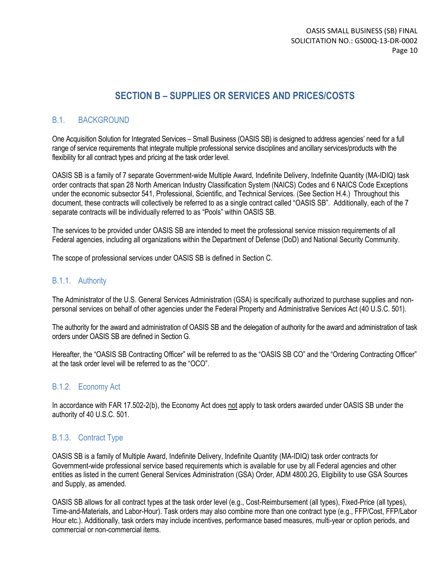## **SECTION B – SUPPLIES OR SERVICES AND PRICES/COSTS**

### B.1. BACKGROUND

One Acquisition Solution for Integrated Services – Small Business (OASIS SB) is designed to address agencies' need for a full range of service requirements that integrate multiple professional service disciplines and ancillary services/products with the flexibility for all contract types and pricing at the task order level.

OASIS SB is a family of 7 separate Government-wide Multiple Award, Indefinite Delivery, Indefinite Quantity (MA-IDIQ) task order contracts that span 28 North American Industry Classification System (NAICS) Codes and 6 NAICS Code Exceptions under the economic subsector 541, Professional, Scientific, and Technical Services. (See Section H.4.) Throughout this document, these contracts will collectively be referred to as a single contract called "OASIS SB". Additionally, each of the 7 separate contracts will be individually referred to as "Pools" within OASIS SB.

The services to be provided under OASIS SB are intended to meet the professional service mission requirements of all Federal agencies, including all organizations within the Department of Defense (DoD) and National Security Community.

The scope of professional services under OASIS SB is defined in Section C.

#### B.1.1. Authority

The Administrator of the U.S. General Services Administration (GSA) is specifically authorized to purchase supplies and nonpersonal services on behalf of other agencies under the Federal Property and Administrative Services Act (40 U.S.C. 501).

The authority for the award and administration of OASIS SB and the delegation of authority for the award and administration of task orders under OASIS SB are defined in Section G.

Hereafter, the "OASIS SB Contracting Officer" will be referred to as the "OASIS SB CO" and the "Ordering Contracting Officer" at the task order level will be referred to as the "OCO".

#### B.1.2. Economy Act

In accordance with FAR 17.502-2(b), the Economy Act does not apply to task orders awarded under OASIS SB under the authority of 40 U.S.C. 501.

#### B.1.3. Contract Type

OASIS SB is a family of Multiple Award, Indefinite Delivery, Indefinite Quantity (MA-IDIQ) task order contracts for Government-wide professional service based requirements which is available for use by all Federal agencies and other entities as listed in the current General Services Administration (GSA) Order, ADM 4800.2G, Eligibility to use GSA Sources and Supply, as amended.

OASIS SB allows for all contract types at the task order level (e.g., Cost-Reimbursement (all types), Fixed-Price (all types), Time-and-Materials, and Labor-Hour). Task orders may also combine more than one contract type (e.g., FFP/Cost, FFP/Labor Hour etc.). Additionally, task orders may include incentives, performance based measures, multi-year or option periods, and commercial or non-commercial items.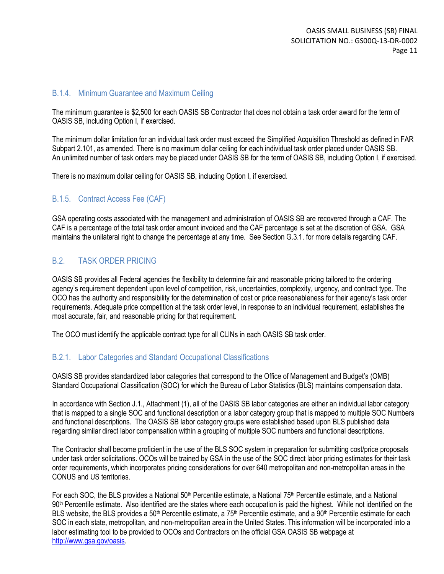#### B.1.4. Minimum Guarantee and Maximum Ceiling

The minimum guarantee is \$2,500 for each OASIS SB Contractor that does not obtain a task order award for the term of OASIS SB, including Option I, if exercised.

The minimum dollar limitation for an individual task order must exceed the Simplified Acquisition Threshold as defined in FAR Subpart 2.101, as amended. There is no maximum dollar ceiling for each individual task order placed under OASIS SB. An unlimited number of task orders may be placed under OASIS SB for the term of OASIS SB, including Option I, if exercised.

There is no maximum dollar ceiling for OASIS SB, including Option I, if exercised.

### B.1.5. Contract Access Fee (CAF)

GSA operating costs associated with the management and administration of OASIS SB are recovered through a CAF. The CAF is a percentage of the total task order amount invoiced and the CAF percentage is set at the discretion of GSA. GSA maintains the unilateral right to change the percentage at any time. See Section G.3.1. for more details regarding CAF.

### B.2. TASK ORDER PRICING

OASIS SB provides all Federal agencies the flexibility to determine fair and reasonable pricing tailored to the ordering agency's requirement dependent upon level of competition, risk, uncertainties, complexity, urgency, and contract type. The OCO has the authority and responsibility for the determination of cost or price reasonableness for their agency's task order requirements. Adequate price competition at the task order level, in response to an individual requirement, establishes the most accurate, fair, and reasonable pricing for that requirement.

The OCO must identify the applicable contract type for all CLINs in each OASIS SB task order.

#### B.2.1. Labor Categories and Standard Occupational Classifications

OASIS SB provides standardized labor categories that correspond to the Office of Management and Budget's (OMB) Standard Occupational Classification (SOC) for which the Bureau of Labor Statistics (BLS) maintains compensation data.

In accordance with Section J.1., Attachment (1), all of the OASIS SB labor categories are either an individual labor category that is mapped to a single SOC and functional description or a labor category group that is mapped to multiple SOC Numbers and functional descriptions. The OASIS SB labor category groups were established based upon BLS published data regarding similar direct labor compensation within a grouping of multiple SOC numbers and functional descriptions.

The Contractor shall become proficient in the use of the BLS SOC system in preparation for submitting cost/price proposals under task order solicitations. OCOs will be trained by GSA in the use of the SOC direct labor pricing estimates for their task order requirements, which incorporates pricing considerations for over 640 metropolitan and non-metropolitan areas in the CONUS and US territories.

For each SOC, the BLS provides a National 50<sup>th</sup> Percentile estimate, a National 75<sup>th</sup> Percentile estimate, and a National 90<sup>th</sup> Percentile estimate. Also identified are the states where each occupation is paid the highest. While not identified on the BLS website, the BLS provides a 50<sup>th</sup> Percentile estimate, a 75<sup>th</sup> Percentile estimate, and a 90<sup>th</sup> Percentile estimate for each SOC in each state, metropolitan, and non-metropolitan area in the United States. This information will be incorporated into a labor estimating tool to be provided to OCOs and Contractors on the official GSA OASIS SB webpage at [http://www.gsa.gov/oasis.](http://www.gsa.gov/oasis)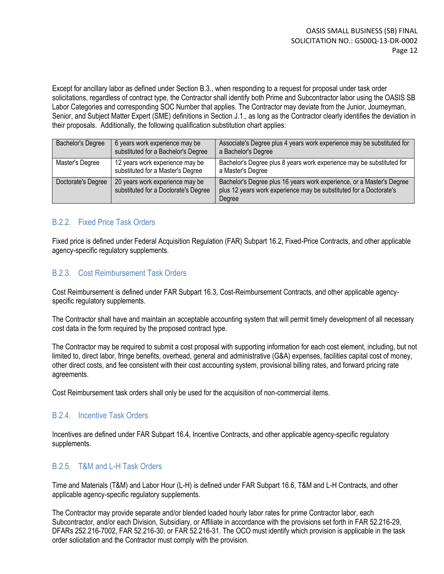Except for ancillary labor as defined under Section B.3., when responding to a request for proposal under task order solicitations, regardless of contract type, the Contractor shall identify both Prime and Subcontractor labor using the OASIS SB Labor Categories and corresponding SOC Number that applies. The Contractor may deviate from the Junior, Journeyman, Senior, and Subject Matter Expert (SME) definitions in Section J.1., as long as the Contractor clearly identifies the deviation in their proposals. Additionally, the following qualification substitution chart applies:

| <b>Bachelor's Degree</b> | 6 years work experience may be<br>substituted for a Bachelor's Degree   | Associate's Degree plus 4 years work experience may be substituted for<br>a Bachelor's Degree                                                         |
|--------------------------|-------------------------------------------------------------------------|-------------------------------------------------------------------------------------------------------------------------------------------------------|
| Master's Degree          | 12 years work experience may be<br>substituted for a Master's Degree    | Bachelor's Degree plus 8 years work experience may be substituted for<br>a Master's Degree                                                            |
| Doctorate's Degree       | 20 years work experience may be<br>substituted for a Doctorate's Degree | Bachelor's Degree plus 16 years work experience, or a Master's Degree<br>plus 12 years work experience may be substituted for a Doctorate's<br>Degree |

### B.2.2. Fixed Price Task Orders

Fixed price is defined under Federal Acquisition Regulation (FAR) Subpart 16.2, Fixed-Price Contracts, and other applicable agency-specific regulatory supplements.

#### B.2.3. Cost Reimbursement Task Orders

Cost Reimbursement is defined under FAR Subpart 16.3, Cost-Reimbursement Contracts, and other applicable agencyspecific regulatory supplements.

The Contractor shall have and maintain an acceptable accounting system that will permit timely development of all necessary cost data in the form required by the proposed contract type.

The Contractor may be required to submit a cost proposal with supporting information for each cost element, including, but not limited to, direct labor, fringe benefits, overhead, general and administrative (G&A) expenses, facilities capital cost of money, other direct costs, and fee consistent with their cost accounting system, provisional billing rates, and forward pricing rate agreements.

Cost Reimbursement task orders shall only be used for the acquisition of non-commercial items.

#### B.2.4. Incentive Task Orders

Incentives are defined under FAR Subpart 16.4, Incentive Contracts, and other applicable agency-specific regulatory supplements.

#### B.2.5. T&M and L-H Task Orders

Time and Materials (T&M) and Labor Hour (L-H) is defined under FAR Subpart 16.6, T&M and L-H Contracts, and other applicable agency-specific regulatory supplements.

The Contractor may provide separate and/or blended loaded hourly labor rates for prime Contractor labor, each Subcontractor, and/or each Division, Subsidiary, or Affiliate in accordance with the provisions set forth in FAR 52.216-29, DFARs 252.216-7002, FAR 52.216-30, or FAR 52.216-31. The OCO must identify which provision is applicable in the task order solicitation and the Contractor must comply with the provision.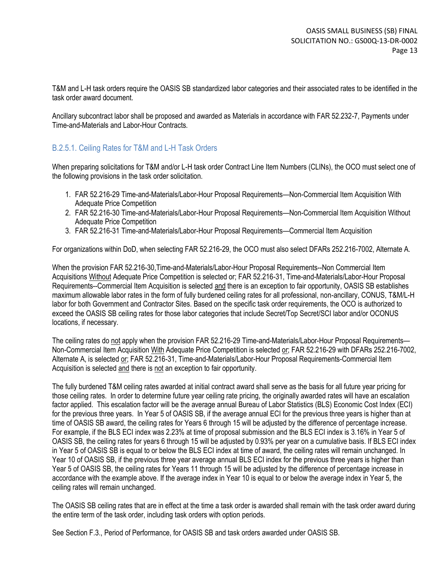T&M and L-H task orders require the OASIS SB standardized labor categories and their associated rates to be identified in the task order award document.

Ancillary subcontract labor shall be proposed and awarded as Materials in accordance with FAR 52.232-7, Payments under Time-and-Materials and Labor-Hour Contracts.

### B.2.5.1. Ceiling Rates for T&M and L-H Task Orders

When preparing solicitations for T&M and/or L-H task order Contract Line Item Numbers (CLINs), the OCO must select one of the following provisions in the task order solicitation.

- 1. FAR 52.216-29 Time-and-Materials/Labor-Hour Proposal Requirements—Non-Commercial Item Acquisition With Adequate Price Competition
- 2. FAR 52.216-30 Time-and-Materials/Labor-Hour Proposal Requirements—Non-Commercial Item Acquisition Without Adequate Price Competition
- 3. FAR 52.216-31 Time-and-Materials/Labor-Hour Proposal Requirements—Commercial Item Acquisition

For organizations within DoD, when selecting FAR 52.216-29, the OCO must also select DFARs 252.216-7002, Alternate A.

When the provision FAR 52.216-30,Time-and-Materials/Labor-Hour Proposal Requirements--Non Commercial Item Acquisitions Without Adequate Price Competition is selected or; FAR 52.216-31, Time-and-Materials/Labor-Hour Proposal Requirements--Commercial Item Acquisition is selected and there is an exception to fair opportunity, OASIS SB establishes maximum allowable labor rates in the form of fully burdened ceiling rates for all professional, non-ancillary, CONUS, T&M/L-H labor for both Government and Contractor Sites. Based on the specific task order requirements, the OCO is authorized to exceed the OASIS SB ceiling rates for those labor categories that include Secret/Top Secret/SCI labor and/or OCONUS locations, if necessary.

The ceiling rates do not apply when the provision FAR 52.216-29 Time-and-Materials/Labor-Hour Proposal Requirements— Non-Commercial Item Acquisition With Adequate Price Competition is selected or; FAR 52.216-29 with DFARs 252.216-7002, Alternate A, is selected or; FAR 52.216-31, Time-and-Materials/Labor-Hour Proposal Requirements-Commercial Item Acquisition is selected and there is not an exception to fair opportunity.

The fully burdened T&M ceiling rates awarded at initial contract award shall serve as the basis for all future year pricing for those ceiling rates. In order to determine future year ceiling rate pricing, the originally awarded rates will have an escalation factor applied. This escalation factor will be the average annual Bureau of Labor Statistics (BLS) Economic Cost Index (ECI) for the previous three years. In Year 5 of OASIS SB, if the average annual ECI for the previous three years is higher than at time of OASIS SB award, the ceiling rates for Years 6 through 15 will be adjusted by the difference of percentage increase. For example, if the BLS ECI index was 2.23% at time of proposal submission and the BLS ECI index is 3.16% in Year 5 of OASIS SB, the ceiling rates for years 6 through 15 will be adjusted by 0.93% per year on a cumulative basis. If BLS ECI index in Year 5 of OASIS SB is equal to or below the BLS ECI index at time of award, the ceiling rates will remain unchanged. In Year 10 of OASIS SB, if the previous three year average annual BLS ECI index for the previous three years is higher than Year 5 of OASIS SB, the ceiling rates for Years 11 through 15 will be adjusted by the difference of percentage increase in accordance with the example above. If the average index in Year 10 is equal to or below the average index in Year 5, the ceiling rates will remain unchanged.

The OASIS SB ceiling rates that are in effect at the time a task order is awarded shall remain with the task order award during the entire term of the task order, including task orders with option periods.

See Section F.3., Period of Performance, for OASIS SB and task orders awarded under OASIS SB.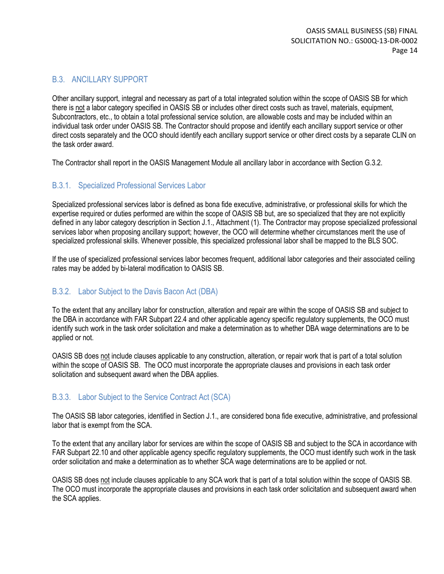### B.3. ANCILLARY SUPPORT

Other ancillary support, integral and necessary as part of a total integrated solution within the scope of OASIS SB for which there is not a labor category specified in OASIS SB or includes other direct costs such as travel, materials, equipment, Subcontractors, etc., to obtain a total professional service solution, are allowable costs and may be included within an individual task order under OASIS SB. The Contractor should propose and identify each ancillary support service or other direct costs separately and the OCO should identify each ancillary support service or other direct costs by a separate CLIN on the task order award.

The Contractor shall report in the OASIS Management Module all ancillary labor in accordance with Section G.3.2.

### B.3.1. Specialized Professional Services Labor

Specialized professional services labor is defined as bona fide executive, administrative, or professional skills for which the expertise required or duties performed are within the scope of OASIS SB but, are so specialized that they are not explicitly defined in any labor category description in Section J.1., Attachment (1). The Contractor may propose specialized professional services labor when proposing ancillary support; however, the OCO will determine whether circumstances merit the use of specialized professional skills. Whenever possible, this specialized professional labor shall be mapped to the BLS SOC.

If the use of specialized professional services labor becomes frequent, additional labor categories and their associated ceiling rates may be added by bi-lateral modification to OASIS SB.

### B.3.2. Labor Subject to the Davis Bacon Act (DBA)

To the extent that any ancillary labor for construction, alteration and repair are within the scope of OASIS SB and subject to the DBA in accordance with FAR Subpart 22.4 and other applicable agency specific regulatory supplements, the OCO must identify such work in the task order solicitation and make a determination as to whether DBA wage determinations are to be applied or not.

OASIS SB does not include clauses applicable to any construction, alteration, or repair work that is part of a total solution within the scope of OASIS SB. The OCO must incorporate the appropriate clauses and provisions in each task order solicitation and subsequent award when the DBA applies.

### B.3.3. Labor Subject to the Service Contract Act (SCA)

The OASIS SB labor categories, identified in Section J.1., are considered bona fide executive, administrative, and professional labor that is exempt from the SCA.

To the extent that any ancillary labor for services are within the scope of OASIS SB and subject to the SCA in accordance with FAR Subpart 22.10 and other applicable agency specific regulatory supplements, the OCO must identify such work in the task order solicitation and make a determination as to whether SCA wage determinations are to be applied or not.

OASIS SB does not include clauses applicable to any SCA work that is part of a total solution within the scope of OASIS SB. The OCO must incorporate the appropriate clauses and provisions in each task order solicitation and subsequent award when the SCA applies.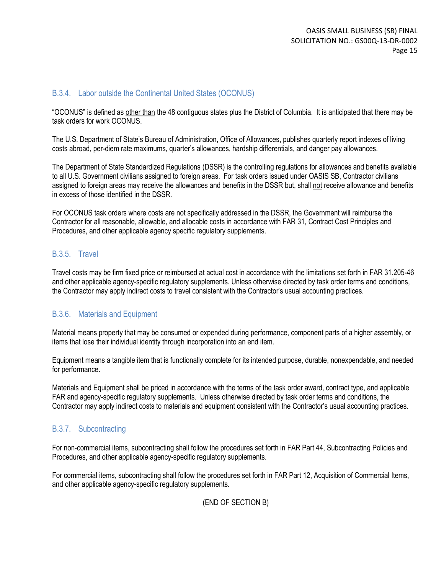#### B.3.4. Labor outside the Continental United States (OCONUS)

"OCONUS" is defined as other than the 48 contiguous states plus the District of Columbia. It is anticipated that there may be task orders for work OCONUS.

The U.S. Department of State's Bureau of Administration, Office of Allowances, publishes quarterly report indexes of living costs abroad, per-diem rate maximums, quarter's allowances, hardship differentials, and danger pay allowances.

The Department of State Standardized Regulations (DSSR) is the controlling regulations for allowances and benefits available to all U.S. Government civilians assigned to foreign areas. For task orders issued under OASIS SB, Contractor civilians assigned to foreign areas may receive the allowances and benefits in the DSSR but, shall not receive allowance and benefits in excess of those identified in the DSSR.

For OCONUS task orders where costs are not specifically addressed in the DSSR, the Government will reimburse the Contractor for all reasonable, allowable, and allocable costs in accordance with FAR 31, Contract Cost Principles and Procedures, and other applicable agency specific regulatory supplements.

#### B.3.5. Travel

Travel costs may be firm fixed price or reimbursed at actual cost in accordance with the limitations set forth in FAR 31.205-46 and other applicable agency-specific regulatory supplements. Unless otherwise directed by task order terms and conditions, the Contractor may apply indirect costs to travel consistent with the Contractor's usual accounting practices.

#### B.3.6. Materials and Equipment

Material means property that may be consumed or expended during performance, component parts of a higher assembly, or items that lose their individual identity through incorporation into an end item.

Equipment means a tangible item that is functionally complete for its intended purpose, durable, nonexpendable, and needed for performance.

Materials and Equipment shall be priced in accordance with the terms of the task order award, contract type, and applicable FAR and agency-specific regulatory supplements. Unless otherwise directed by task order terms and conditions, the Contractor may apply indirect costs to materials and equipment consistent with the Contractor's usual accounting practices.

### B.3.7. Subcontracting

For non-commercial items, subcontracting shall follow the procedures set forth in FAR Part 44, Subcontracting Policies and Procedures, and other applicable agency-specific regulatory supplements.

For commercial items, subcontracting shall follow the procedures set forth in FAR Part 12, Acquisition of Commercial Items, and other applicable agency-specific regulatory supplements.

(END OF SECTION B)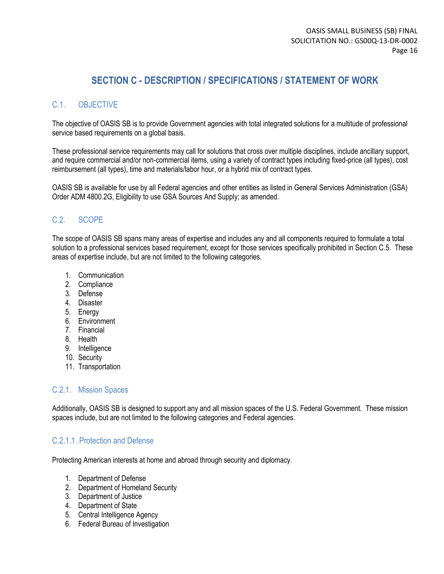## **SECTION C - DESCRIPTION / SPECIFICATIONS / STATEMENT OF WORK**

### C.1. OBJECTIVE

The objective of OASIS SB is to provide Government agencies with total integrated solutions for a multitude of professional service based requirements on a global basis.

These professional service requirements may call for solutions that cross over multiple disciplines, include ancillary support, and require commercial and/or non-commercial items, using a variety of contract types including fixed-price (all types), cost reimbursement (all types), time and materials/labor hour, or a hybrid mix of contract types.

OASIS SB is available for use by all Federal agencies and other entities as listed in General Services Administration (GSA) Order ADM 4800.2G, Eligibility to use GSA Sources And Supply; as amended.

### C.2. SCOPE

The scope of OASIS SB spans many areas of expertise and includes any and all components required to formulate a total solution to a professional services based requirement, except for those services specifically prohibited in Section C.5. These areas of expertise include, but are not limited to the following categories.

- 1. Communication
- 2. Compliance
- 3. Defense
- 4. Disaster
- 5. Energy
- 6. Environment
- 7. Financial
- 8. Health
- 9. Intelligence
- 10. Security
- 11. Transportation

#### C.2.1. Mission Spaces

Additionally, OASIS SB is designed to support any and all mission spaces of the U.S. Federal Government. These mission spaces include, but are not limited to the following categories and Federal agencies.

### C.2.1.1. Protection and Defense

Protecting American interests at home and abroad through security and diplomacy.

- 1. Department of Defense
- 2. Department of Homeland Security
- 3. Department of Justice
- 4. Department of State
- 5. Central Intelligence Agency
- 6. Federal Bureau of Investigation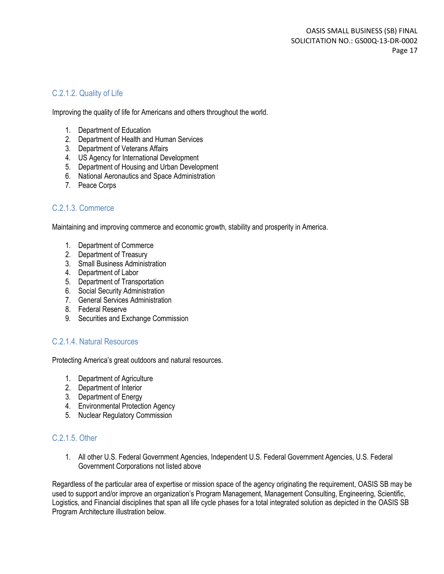### C.2.1.2. Quality of Life

Improving the quality of life for Americans and others throughout the world.

- 1. Department of Education
- 2. Department of Health and Human Services
- 3. Department of Veterans Affairs
- 4. US Agency for International Development
- 5. Department of Housing and Urban Development
- 6. National Aeronautics and Space Administration
- 7. Peace Corps

#### C.2.1.3. Commerce

Maintaining and improving commerce and economic growth, stability and prosperity in America.

- 1. Department of Commerce
- 2. Department of Treasury
- 3. Small Business Administration
- 4. Department of Labor
- 5. Department of Transportation
- 6. Social Security Administration
- 7. General Services Administration
- 8. Federal Reserve
- 9. Securities and Exchange Commission

#### C.2.1.4. Natural Resources

Protecting America's great outdoors and natural resources.

- 1. Department of Agriculture
- 2. Department of Interior
- 3. Department of Energy
- 4. Environmental Protection Agency
- 5. Nuclear Regulatory Commission

#### C.2.1.5. Other

1. All other U.S. Federal Government Agencies, Independent U.S. Federal Government Agencies, U.S. Federal Government Corporations not listed above

Regardless of the particular area of expertise or mission space of the agency originating the requirement, OASIS SB may be used to support and/or improve an organization's Program Management, Management Consulting, Engineering, Scientific, Logistics, and Financial disciplines that span all life cycle phases for a total integrated solution as depicted in the OASIS SB Program Architecture illustration below.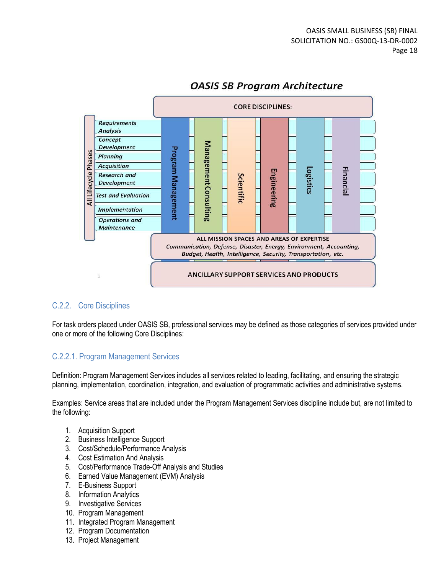

## **OASIS SB Program Architecture**

### C.2.2. Core Disciplines

For task orders placed under OASIS SB, professional services may be defined as those categories of services provided under one or more of the following Core Disciplines:

### C.2.2.1. Program Management Services

Definition: Program Management Services includes all services related to leading, facilitating, and ensuring the strategic planning, implementation, coordination, integration, and evaluation of programmatic activities and administrative systems.

Examples: Service areas that are included under the Program Management Services discipline include but, are not limited to the following:

- 1. Acquisition Support
- 2. Business Intelligence Support
- 3. Cost/Schedule/Performance Analysis
- 4. Cost Estimation And Analysis
- 5. Cost/Performance Trade-Off Analysis and Studies
- 6. Earned Value Management (EVM) Analysis
- 7. E-Business Support
- 8. Information Analytics
- 9. Investigative Services
- 10. Program Management
- 11. Integrated Program Management
- 12. Program Documentation
- 13. Project Management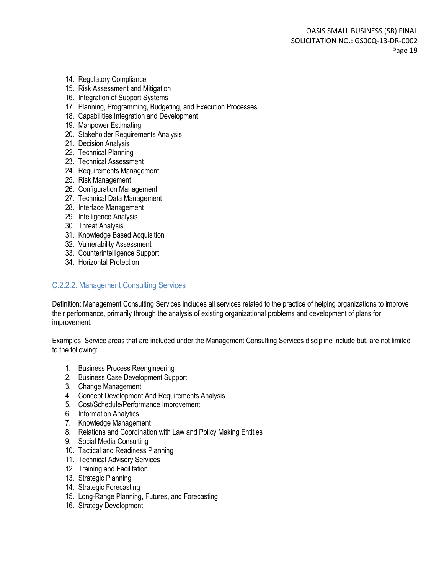- 14. Regulatory Compliance
- 15. Risk Assessment and Mitigation
- 16. Integration of Support Systems
- 17. Planning, Programming, Budgeting, and Execution Processes
- 18. Capabilities Integration and Development
- 19. Manpower Estimating
- 20. Stakeholder Requirements Analysis
- 21. Decision Analysis
- 22. Technical Planning
- 23. Technical Assessment
- 24. Requirements Management
- 25. Risk Management
- 26. Configuration Management
- 27. Technical Data Management
- 28. Interface Management
- 29. Intelligence Analysis
- 30. Threat Analysis
- 31. Knowledge Based Acquisition
- 32. Vulnerability Assessment
- 33. Counterintelligence Support
- 34. Horizontal Protection

#### C.2.2.2. Management Consulting Services

Definition: Management Consulting Services includes all services related to the practice of helping organizations to improve their performance, primarily through the analysis of existing organizational problems and development of plans for improvement.

Examples: Service areas that are included under the Management Consulting Services discipline include but, are not limited to the following:

- 1. Business Process Reengineering
- 2. Business Case Development Support
- 3. Change Management
- 4. Concept Development And Requirements Analysis
- 5. Cost/Schedule/Performance Improvement
- 6. Information Analytics
- 7. Knowledge Management
- 8. Relations and Coordination with Law and Policy Making Entities
- 9. Social Media Consulting
- 10. Tactical and Readiness Planning
- 11. Technical Advisory Services
- 12. Training and Facilitation
- 13. Strategic Planning
- 14. Strategic Forecasting
- 15. Long-Range Planning, Futures, and Forecasting
- 16. Strategy Development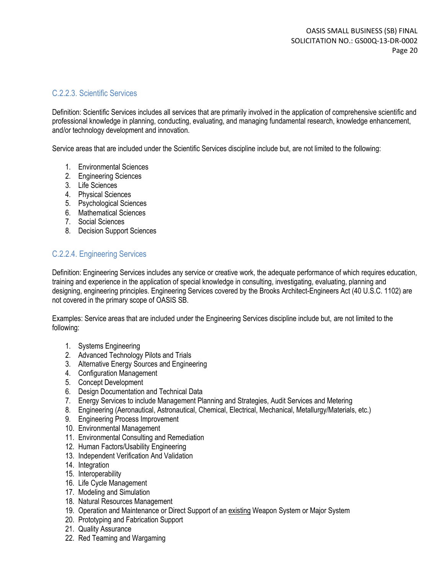#### C.2.2.3. Scientific Services

Definition: Scientific Services includes all services that are primarily involved in the application of comprehensive scientific and professional knowledge in planning, conducting, evaluating, and managing fundamental research, knowledge enhancement, and/or technology development and innovation.

Service areas that are included under the Scientific Services discipline include but, are not limited to the following:

- 1. Environmental Sciences
- 2. Engineering Sciences
- 3. Life Sciences
- 4. Physical Sciences
- 5. Psychological Sciences
- 6. Mathematical Sciences
- 7. Social Sciences
- 8. Decision Support Sciences

### C.2.2.4. Engineering Services

Definition: Engineering Services includes any service or creative work, the adequate performance of which requires education, training and experience in the application of special knowledge in consulting, investigating, evaluating, planning and designing, engineering principles. Engineering Services covered by the Brooks Architect-Engineers Act (40 U.S.C. 1102) are not covered in the primary scope of OASIS SB.

Examples: Service areas that are included under the Engineering Services discipline include but, are not limited to the following:

- 1. Systems Engineering
- 2. Advanced Technology Pilots and Trials
- 3. Alternative Energy Sources and Engineering
- 4. Configuration Management
- 5. Concept Development
- 6. Design Documentation and Technical Data
- 7. Energy Services to include Management Planning and Strategies, Audit Services and Metering
- 8. Engineering (Aeronautical, Astronautical, Chemical, Electrical, Mechanical, Metallurgy/Materials, etc.)
- 9. Engineering Process Improvement
- 10. Environmental Management
- 11. Environmental Consulting and Remediation
- 12. Human Factors/Usability Engineering
- 13. Independent Verification And Validation
- 14. Integration
- 15. Interoperability
- 16. Life Cycle Management
- 17. Modeling and Simulation
- 18. Natural Resources Management
- 19. Operation and Maintenance or Direct Support of an existing Weapon System or Major System
- 20. Prototyping and Fabrication Support
- 21. Quality Assurance
- 22. Red Teaming and Wargaming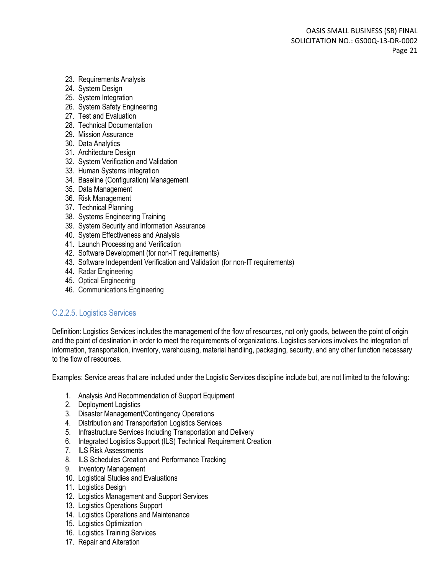- 23. Requirements Analysis
- 24. System Design
- 25. System Integration
- 26. System Safety Engineering
- 27. Test and Evaluation
- 28. Technical Documentation
- 29. Mission Assurance
- 30. Data Analytics
- 31. Architecture Design
- 32. System Verification and Validation
- 33. Human Systems Integration
- 34. Baseline (Configuration) Management
- 35. Data Management
- 36. Risk Management
- 37. Technical Planning
- 38. Systems Engineering Training
- 39. System Security and Information Assurance
- 40. System Effectiveness and Analysis
- 41. Launch Processing and Verification
- 42. Software Development (for non-IT requirements)
- 43. Software Independent Verification and Validation (for non-IT requirements)
- 44. Radar Engineering
- 45. Optical Engineering
- 46. Communications Engineering

#### C.2.2.5. Logistics Services

Definition: Logistics Services includes the management of the flow of resources, not only goods, between the point of origin and the point of destination in order to meet the requirements of organizations. Logistics services involves the integration of information[, transportation,](http://en.wikipedia.org/wiki/Transportation) [inventory,](http://en.wikipedia.org/wiki/Inventory) [warehousing,](http://en.wikipedia.org/wiki/Warehousing) [material handling,](http://en.wikipedia.org/wiki/Materials_management) [packaging,](http://en.wikipedia.org/wiki/Packaging) [security,](http://en.wikipedia.org/wiki/Security) and any other function necessary to the flow of resources.

Examples: Service areas that are included under the Logistic Services discipline include but, are not limited to the following:

- 1. Analysis And Recommendation of Support Equipment
- 2. Deployment Logistics
- 3. Disaster Management/Contingency Operations
- 4. Distribution and Transportation Logistics Services
- 5. Infrastructure Services Including Transportation and Delivery
- 6. Integrated Logistics Support (ILS) Technical Requirement Creation
- 7. ILS Risk Assessments
- 8. ILS Schedules Creation and Performance Tracking
- 9. Inventory Management
- 10. Logistical Studies and Evaluations
- 11. Logistics Design
- 12. Logistics Management and Support Services
- 13. Logistics Operations Support
- 14. Logistics Operations and Maintenance
- 15. Logistics Optimization
- 16. Logistics Training Services
- 17. Repair and Alteration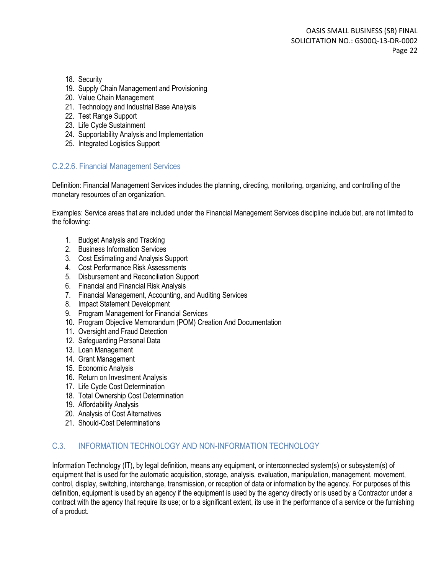- 18. Security
- 19. Supply Chain Management and Provisioning
- 20. Value Chain Management
- 21. Technology and Industrial Base Analysis
- 22. Test Range Support
- 23. Life Cycle Sustainment
- 24. Supportability Analysis and Implementation
- 25. Integrated Logistics Support

### C.2.2.6. Financial Management Services

Definition: Financial Management Services includes the [planning,](http://www.businessdictionary.com/definition/planning.html) [directing,](http://www.businessdictionary.com/definition/directing.html) [monitoring,](http://www.businessdictionary.com/definition/monitoring.html) [organizing,](http://www.businessdictionary.com/definition/organizing.html) an[d controlling](http://www.businessdictionary.com/definition/controlling.html) of the [monetary](http://www.businessdictionary.com/definition/monetary.html) [resources](http://www.businessdictionary.com/definition/resource.html) of an [organization.](http://www.businessdictionary.com/definition/organization.html)

Examples: Service areas that are included under the Financial Management Services discipline include but, are not limited to the following:

- 1. Budget Analysis and Tracking
- 2. Business Information Services
- 3. Cost Estimating and Analysis Support
- 4. Cost Performance Risk Assessments
- 5. Disbursement and Reconciliation Support
- 6. Financial and Financial Risk Analysis
- 7. Financial Management, Accounting, and Auditing Services
- 8. Impact Statement Development
- 9. Program Management for Financial Services
- 10. Program Objective Memorandum (POM) Creation And Documentation
- 11. Oversight and Fraud Detection
- 12. Safeguarding Personal Data
- 13. Loan Management
- 14. Grant Management
- 15. Economic Analysis
- 16. Return on Investment Analysis
- 17. Life Cycle Cost Determination
- 18. Total Ownership Cost Determination
- 19. Affordability Analysis
- 20. Analysis of Cost Alternatives
- 21. Should-Cost Determinations

#### C.3. INFORMATION TECHNOLOGY AND NON-INFORMATION TECHNOLOGY

Information Technology (IT), by legal definition, means any equipment, or interconnected system(s) or subsystem(s) of equipment that is used for the automatic acquisition, storage, analysis, evaluation, manipulation, management, movement, control, display, switching, interchange, transmission, or reception of data or information by the agency. For purposes of this definition, equipment is used by an agency if the equipment is used by the agency directly or is used by a Contractor under a contract with the agency that require its use; or to a significant extent, its use in the performance of a service or the furnishing of a product.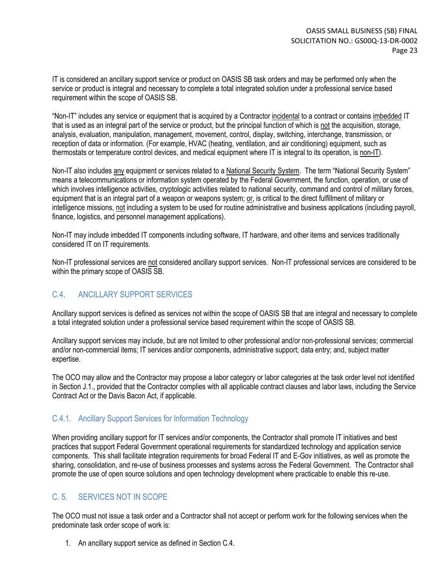IT is considered an ancillary support service or product on OASIS SB task orders and may be performed only when the service or product is integral and necessary to complete a total integrated solution under a professional service based requirement within the scope of OASIS SB.

"Non-IT" includes any service or equipment that is acquired by a Contractor incidental to a contract or contains imbedded IT that is used as an integral part of the service or product, but the principal function of which is not the acquisition, storage, analysis, evaluation, manipulation, management, movement, control, display, switching, interchange, transmission, or reception of data or information. (For example, HVAC (heating, ventilation, and air conditioning) equipment, such as thermostats or temperature control devices, and medical equipment where IT is integral to its operation, is non-IT).

Non-IT also includes any equipment or services related to a National Security System. The term "National Security System" means a telecommunications or information system operated by the Federal Government, the function, operation, or use of which involves intelligence activities, cryptologic activities related to national security, command and control of military forces, equipment that is an integral part of a weapon or weapons system; or, is critical to the direct fulfillment of military or intelligence missions, not including a system to be used for routine administrative and business applications (including payroll, finance, logistics, and personnel management applications).

Non-IT may include imbedded IT components including software, IT hardware, and other items and services traditionally considered IT on IT requirements.

Non-IT professional services are not considered ancillary support services. Non-IT professional services are considered to be within the primary scope of OASIS SB.

### C.4. ANCILLARY SUPPORT SERVICES

Ancillary support services is defined as services not within the scope of OASIS SB that are integral and necessary to complete a total integrated solution under a professional service based requirement within the scope of OASIS SB.

Ancillary support services may include, but are not limited to other professional and/or non-professional services; commercial and/or non-commercial items; IT services and/or components, administrative support; data entry; and, subject matter expertise.

The OCO may allow and the Contractor may propose a labor category or labor categories at the task order level not identified in Section J.1., provided that the Contractor complies with all applicable contract clauses and labor laws, including the Service Contract Act or the Davis Bacon Act, if applicable.

### C.4.1. Ancillary Support Services for Information Technology

When providing ancillary support for IT services and/or components, the Contractor shall promote IT initiatives and best practices that support Federal Government operational requirements for standardized technology and application service components. This shall facilitate integration requirements for broad Federal IT and E-Gov initiatives, as well as promote the sharing, consolidation, and re-use of business processes and systems across the Federal Government. The Contractor shall promote the use of open source solutions and open technology development where practicable to enable this re-use.

### C. 5. SERVICES NOT IN SCOPE

The OCO must not issue a task order and a Contractor shall not accept or perform work for the following services when the predominate task order scope of work is:

1. An ancillary support service as defined in Section C.4.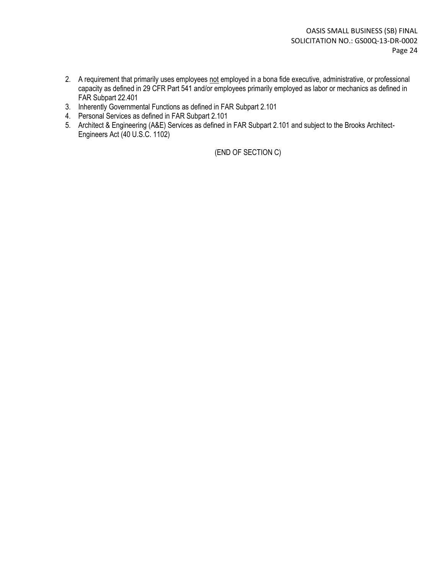- 2. A requirement that primarily uses employees not employed in a bona fide executive, administrative, or professional capacity as defined in 29 CFR Part 541 and/or employees primarily employed as labor or mechanics as defined in FAR Subpart 22.401
- 3. Inherently Governmental Functions as defined in FAR Subpart 2.101
- 4. Personal Services as defined in FAR Subpart 2.101
- 5. Architect & Engineering (A&E) Services as defined in FAR Subpart 2.101 and subject to the Brooks Architect-Engineers Act (40 U.S.C. 1102)

(END OF SECTION C)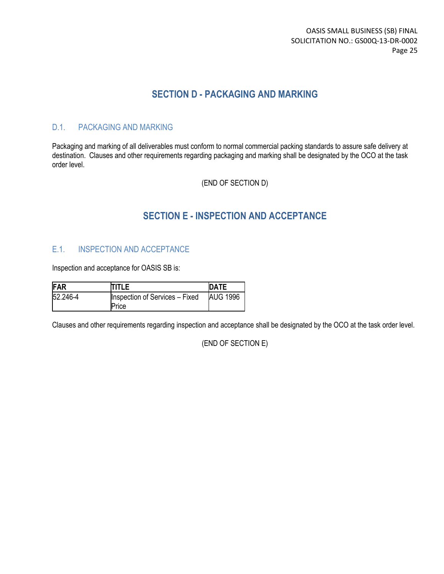## **SECTION D - PACKAGING AND MARKING**

### D.1. PACKAGING AND MARKING

Packaging and marking of all deliverables must conform to normal commercial packing standards to assure safe delivery at destination. Clauses and other requirements regarding packaging and marking shall be designated by the OCO at the task order level.

(END OF SECTION D)

## **SECTION E - INSPECTION AND ACCEPTANCE**

### E.1. INSPECTION AND ACCEPTANCE

Inspection and acceptance for OASIS SB is:

| FAR      | TITLE                                 | <b>DATE</b>     |
|----------|---------------------------------------|-----------------|
| 52.246-4 | <b>Inspection of Services - Fixed</b> | <b>AUG 1996</b> |
|          | Price                                 |                 |

Clauses and other requirements regarding inspection and acceptance shall be designated by the OCO at the task order level.

| (END OF SECTION E) |
|--------------------|
|--------------------|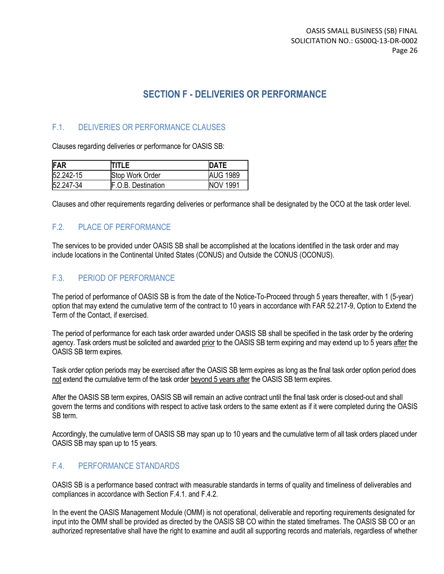## **SECTION F - DELIVERIES OR PERFORMANCE**

### F.1. DELIVERIES OR PERFORMANCE CLAUSES

Clauses regarding deliveries or performance for OASIS SB:

| FAR       | <b>TITLE</b>               | DATE            |
|-----------|----------------------------|-----------------|
| 52.242-15 | Stop Work Order            | <b>AUG 1989</b> |
| 52.247-34 | <b>IF.O.B. Destination</b> | <b>NOV 1991</b> |

Clauses and other requirements regarding deliveries or performance shall be designated by the OCO at the task order level.

### F.2. PLACE OF PERFORMANCE

The services to be provided under OASIS SB shall be accomplished at the locations identified in the task order and may include locations in the Continental United States (CONUS) and Outside the CONUS (OCONUS).

### F.3. PERIOD OF PERFORMANCE

The period of performance of OASIS SB is from the date of the Notice-To-Proceed through 5 years thereafter, with 1 (5-year) option that may extend the cumulative term of the contract to 10 years in accordance with FAR 52.217-9, Option to Extend the Term of the Contact, if exercised.

The period of performance for each task order awarded under OASIS SB shall be specified in the task order by the ordering agency. Task orders must be solicited and awarded prior to the OASIS SB term expiring and may extend up to 5 years after the OASIS SB term expires.

Task order option periods may be exercised after the OASIS SB term expires as long as the final task order option period does not extend the cumulative term of the task order beyond 5 years after the OASIS SB term expires.

After the OASIS SB term expires, OASIS SB will remain an active contract until the final task order is closed-out and shall govern the terms and conditions with respect to active task orders to the same extent as if it were completed during the OASIS SB term.

Accordingly, the cumulative term of OASIS SB may span up to 10 years and the cumulative term of all task orders placed under OASIS SB may span up to 15 years.

### F.4. PERFORMANCE STANDARDS

OASIS SB is a performance based contract with measurable standards in terms of quality and timeliness of deliverables and compliances in accordance with Section F.4.1. and F.4.2.

In the event the OASIS Management Module (OMM) is not operational, deliverable and reporting requirements designated for input into the OMM shall be provided as directed by the OASIS SB CO within the stated timeframes. The OASIS SB CO or an authorized representative shall have the right to examine and audit all supporting records and materials, regardless of whether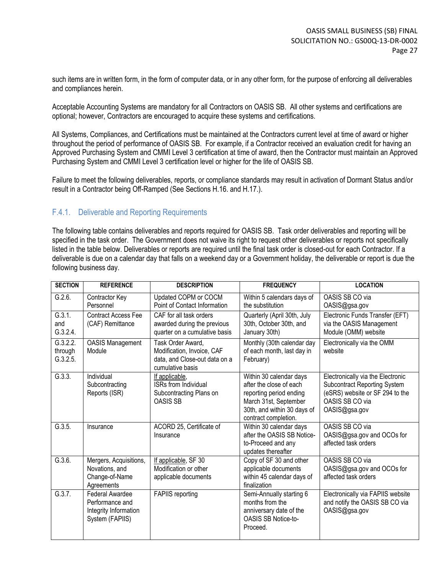such items are in written form, in the form of computer data, or in any other form, for the purpose of enforcing all deliverables and compliances herein.

Acceptable Accounting Systems are mandatory for all Contractors on OASIS SB. All other systems and certifications are optional; however, Contractors are encouraged to acquire these systems and certifications.

All Systems, Compliances, and Certifications must be maintained at the Contractors current level at time of award or higher throughout the period of performance of OASIS SB. For example, if a Contractor received an evaluation credit for having an Approved Purchasing System and CMMI Level 3 certification at time of award, then the Contractor must maintain an Approved Purchasing System and CMMI Level 3 certification level or higher for the life of OASIS SB.

Failure to meet the following deliverables, reports, or compliance standards may result in activation of Dormant Status and/or result in a Contractor being Off-Ramped (See Sections H.16. and H.17.).

#### F.4.1. Deliverable and Reporting Requirements

The following table contains deliverables and reports required for OASIS SB. Task order deliverables and reporting will be specified in the task order. The Government does not waive its right to request other deliverables or reports not specifically listed in the table below. Deliverables or reports are required until the final task order is closed-out for each Contractor. If a deliverable is due on a calendar day that falls on a weekend day or a Government holiday, the deliverable or report is due the following business day.

| <b>SECTION</b>                  | <b>REFERENCE</b>                                                                      | <b>DESCRIPTION</b>                                                                                   | <b>FREQUENCY</b>                                                                                                                                              | <b>LOCATION</b>                                                                                                                          |
|---------------------------------|---------------------------------------------------------------------------------------|------------------------------------------------------------------------------------------------------|---------------------------------------------------------------------------------------------------------------------------------------------------------------|------------------------------------------------------------------------------------------------------------------------------------------|
| G.2.6.                          | Contractor Key<br>Personnel                                                           | Updated COPM or COCM<br>Point of Contact Information                                                 | Within 5 calendars days of<br>the substitution                                                                                                                | OASIS SB CO via<br>OASIS@gsa.gov                                                                                                         |
| G.3.1.<br>and<br>G.3.2.4.       | <b>Contract Access Fee</b><br>(CAF) Remittance                                        | CAF for all task orders<br>awarded during the previous<br>quarter on a cumulative basis              | Quarterly (April 30th, July<br>30th, October 30th, and<br>January 30th)                                                                                       | Electronic Funds Transfer (EFT)<br>via the OASIS Management<br>Module (OMM) website                                                      |
| G.3.2.2.<br>through<br>G.3.2.5. | <b>OASIS Management</b><br>Module                                                     | Task Order Award,<br>Modification, Invoice, CAF<br>data, and Close-out data on a<br>cumulative basis | Monthly (30th calendar day<br>of each month, last day in<br>February)                                                                                         | Electronically via the OMM<br>website                                                                                                    |
| G.3.3.                          | Individual<br>Subcontracting<br>Reports (ISR)                                         | If applicable,<br>ISRs from Individual<br>Subcontracting Plans on<br><b>OASIS SB</b>                 | Within 30 calendar days<br>after the close of each<br>reporting period ending<br>March 31st, September<br>30th, and within 30 days of<br>contract completion. | Electronically via the Electronic<br>Subcontract Reporting System<br>(eSRS) website or SF 294 to the<br>OASIS SB CO via<br>OASIS@gsa.gov |
| G.3.5.                          | Insurance                                                                             | ACORD 25, Certificate of<br>Insurance                                                                | Within 30 calendar days<br>after the OASIS SB Notice-<br>to-Proceed and any<br>updates thereafter                                                             | OASIS SB CO via<br>OASIS@gsa.gov and OCOs for<br>affected task orders                                                                    |
| G.3.6.                          | Mergers, Acquisitions,<br>Novations, and<br>Change-of-Name<br>Agreements              | If applicable, SF 30<br>Modification or other<br>applicable documents                                | Copy of SF 30 and other<br>applicable documents<br>within 45 calendar days of<br>finalization                                                                 | OASIS SB CO via<br>OASIS@gsa.gov and OCOs for<br>affected task orders                                                                    |
| G.3.7.                          | <b>Federal Awardee</b><br>Performance and<br>Integrity Information<br>System (FAPIIS) | <b>FAPIIS</b> reporting                                                                              | Semi-Annually starting 6<br>months from the<br>anniversary date of the<br>OASIS SB Notice-to-<br>Proceed.                                                     | Electronically via FAPIIS website<br>and notify the OASIS SB CO via<br>OASIS@gsa.gov                                                     |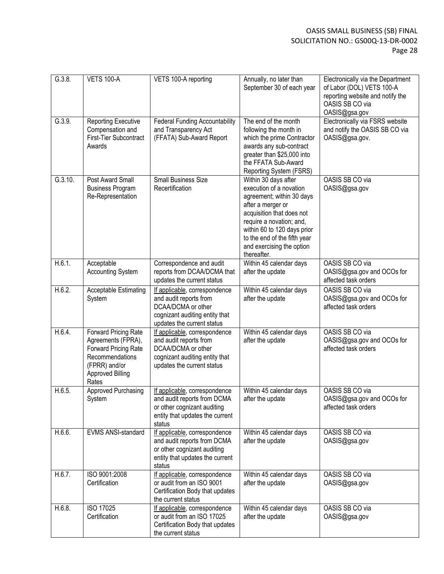| G.3.8.  | <b>VETS 100-A</b>                                                                                                                          | VETS 100-A reporting                                                                                                                          | Annually, no later than<br>September 30 of each year                                                                                                                                                                                                                  | Electronically via the Department<br>of Labor (DOL) VETS 100-A<br>reporting website and notify the<br>OASIS SB CO via<br>OASIS@gsa.gov |
|---------|--------------------------------------------------------------------------------------------------------------------------------------------|-----------------------------------------------------------------------------------------------------------------------------------------------|-----------------------------------------------------------------------------------------------------------------------------------------------------------------------------------------------------------------------------------------------------------------------|----------------------------------------------------------------------------------------------------------------------------------------|
| G.3.9.  | Reporting Executive<br>Compensation and<br>First-Tier Subcontract<br>Awards                                                                | <b>Federal Funding Accountability</b><br>and Transparency Act<br>(FFATA) Sub-Award Report                                                     | The end of the month<br>following the month in<br>which the prime Contractor<br>awards any sub-contract<br>greater than \$25,000 into<br>the FFATA Sub-Award<br>Reporting System (FSRS)                                                                               | Electronically via FSRS website<br>and notify the OASIS SB CO via<br>OASIS@gsa.gov.                                                    |
| G.3.10. | Post Award Small<br><b>Business Program</b><br>Re-Representation                                                                           | <b>Small Business Size</b><br>Recertification                                                                                                 | Within 30 days after<br>execution of a novation<br>agreement; within 30 days<br>after a merger or<br>acquisition that does not<br>require a novation; and,<br>within 60 to 120 days prior<br>to the end of the fifth year<br>and exercising the option<br>thereafter. | OASIS SB CO via<br>OASIS@gsa.gov                                                                                                       |
| H.6.1.  | Acceptable<br><b>Accounting System</b>                                                                                                     | Correspondence and audit<br>reports from DCAA/DCMA that<br>updates the current status                                                         | Within 45 calendar days<br>after the update                                                                                                                                                                                                                           | OASIS SB CO via<br>OASIS@gsa.gov and OCOs for<br>affected task orders                                                                  |
| H.6.2.  | <b>Acceptable Estimating</b><br>System                                                                                                     | If applicable, correspondence<br>and audit reports from<br>DCAA/DCMA or other<br>cognizant auditing entity that<br>updates the current status | Within 45 calendar days<br>after the update                                                                                                                                                                                                                           | OASIS SB CO via<br>OASIS@gsa.gov and OCOs for<br>affected task orders                                                                  |
| H.6.4.  | Forward Pricing Rate<br>Agreements (FPRA),<br>Forward Pricing Rate<br>Recommendations<br>(FPRR) and/or<br><b>Approved Billing</b><br>Rates | If applicable, correspondence<br>and audit reports from<br>DCAA/DCMA or other<br>cognizant auditing entity that<br>updates the current status | Within 45 calendar days<br>after the update                                                                                                                                                                                                                           | OASIS SB CO via<br>OASIS@gsa.gov and OCOs for<br>affected task orders                                                                  |
| H.6.5.  | Approved Purchasing<br>System                                                                                                              | If applicable, correspondence<br>and audit reports from DCMA<br>or other cognizant auditing<br>entity that updates the current<br>status      | Within 45 calendar days<br>after the update                                                                                                                                                                                                                           | OASIS SB CO via<br>OASIS@gsa.gov and OCOs for<br>affected task orders                                                                  |
| H.6.6.  | EVMS ANSI-standard                                                                                                                         | If applicable, correspondence<br>and audit reports from DCMA<br>or other cognizant auditing<br>entity that updates the current<br>status      | Within 45 calendar days<br>after the update                                                                                                                                                                                                                           | OASIS SB CO via<br>OASIS@gsa.gov                                                                                                       |
| H.6.7.  | ISO 9001:2008<br>Certification                                                                                                             | If applicable, correspondence<br>or audit from an ISO 9001<br>Certification Body that updates<br>the current status                           | Within 45 calendar days<br>after the update                                                                                                                                                                                                                           | OASIS SB CO via<br>OASIS@gsa.gov                                                                                                       |
| H.6.8.  | ISO 17025<br>Certification                                                                                                                 | If applicable, correspondence<br>or audit from an ISO 17025<br>Certification Body that updates<br>the current status                          | Within 45 calendar days<br>after the update                                                                                                                                                                                                                           | OASIS SB CO via<br>OASIS@gsa.gov                                                                                                       |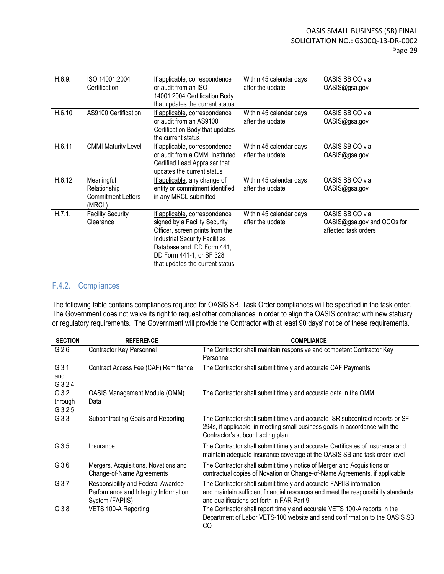| H.6.9.  | ISO 14001:2004<br>Certification                                   | If applicable, correspondence<br>or audit from an ISO<br>14001:2004 Certification Body                                                                                                                                                 | Within 45 calendar days<br>after the update | OASIS SB CO via<br>OASIS@gsa.gov                                      |
|---------|-------------------------------------------------------------------|----------------------------------------------------------------------------------------------------------------------------------------------------------------------------------------------------------------------------------------|---------------------------------------------|-----------------------------------------------------------------------|
|         |                                                                   | that updates the current status                                                                                                                                                                                                        |                                             |                                                                       |
| H.6.10. | AS9100 Certification                                              | If applicable, correspondence<br>or audit from an AS9100<br>Certification Body that updates<br>the current status                                                                                                                      | Within 45 calendar days<br>after the update | OASIS SB CO via<br>OASIS@gsa.gov                                      |
| H.6.11. | <b>CMMI Maturity Level</b>                                        | If applicable, correspondence<br>or audit from a CMMI Instituted<br>Certified Lead Appraiser that<br>updates the current status                                                                                                        | Within 45 calendar days<br>after the update | OASIS SB CO via<br>OASIS@gsa.gov                                      |
| H.6.12. | Meaningful<br>Relationship<br><b>Commitment Letters</b><br>(MRCL) | If applicable, any change of<br>entity or commitment identified<br>in any MRCL submitted                                                                                                                                               | Within 45 calendar days<br>after the update | OASIS SB CO via<br>OASIS@gsa.gov                                      |
| H.7.1.  | <b>Facility Security</b><br>Clearance                             | If applicable, correspondence<br>signed by a Facility Security<br>Officer, screen prints from the<br><b>Industrial Security Facilities</b><br>Database and DD Form 441,<br>DD Form 441-1, or SF 328<br>that updates the current status | Within 45 calendar days<br>after the update | OASIS SB CO via<br>OASIS@gsa.gov and OCOs for<br>affected task orders |

### F.4.2. Compliances

The following table contains compliances required for OASIS SB. Task Order compliances will be specified in the task order. The Government does not waive its right to request other compliances in order to align the OASIS contract with new statuary or regulatory requirements. The Government will provide the Contractor with at least 90 days' notice of these requirements.

| <b>SECTION</b>                | <b>REFERENCE</b>                                                                               | <b>COMPLIANCE</b>                                                                                                                                                                                     |
|-------------------------------|------------------------------------------------------------------------------------------------|-------------------------------------------------------------------------------------------------------------------------------------------------------------------------------------------------------|
| G.2.6.                        | Contractor Key Personnel                                                                       | The Contractor shall maintain responsive and competent Contractor Key<br>Personnel                                                                                                                    |
| G.3.1.<br>and<br>G.3.2.4.     | Contract Access Fee (CAF) Remittance                                                           | The Contractor shall submit timely and accurate CAF Payments                                                                                                                                          |
| G.3.2.<br>through<br>G.3.2.5. | <b>OASIS Management Module (OMM)</b><br>Data                                                   | The Contractor shall submit timely and accurate data in the OMM                                                                                                                                       |
| G.3.3.                        | Subcontracting Goals and Reporting                                                             | The Contractor shall submit timely and accurate ISR subcontract reports or SF<br>294s, if applicable, in meeting small business goals in accordance with the<br>Contractor's subcontracting plan      |
| G.3.5.                        | Insurance                                                                                      | The Contractor shall submit timely and accurate Certificates of Insurance and<br>maintain adequate insurance coverage at the OASIS SB and task order level                                            |
| G.3.6.                        | Mergers, Acquisitions, Novations and<br>Change-of-Name Agreements                              | The Contractor shall submit timely notice of Merger and Acquisitions or<br>contractual copies of Novation or Change-of-Name Agreements, if applicable                                                 |
| G.3.7.                        | Responsibility and Federal Awardee<br>Performance and Integrity Information<br>System (FAPIIS) | The Contractor shall submit timely and accurate FAPIIS information<br>and maintain sufficient financial resources and meet the responsibility standards<br>and qualifications set forth in FAR Part 9 |
| G.3.8.                        | VETS 100-A Reporting                                                                           | The Contractor shall report timely and accurate VETS 100-A reports in the<br>Department of Labor VETS-100 website and send confirmation to the OASIS SB<br>CO                                         |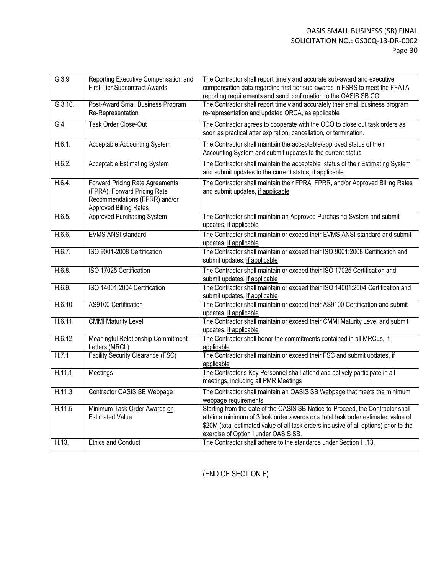#### OASIS SMALL BUSINESS (SB) FINAL SOLICITATION NO.: GS00Q-13-DR-0002 Page 30

| G.3.9.  | Reporting Executive Compensation and<br><b>First-Tier Subcontract Awards</b>                                               | The Contractor shall report timely and accurate sub-award and executive<br>compensation data regarding first-tier sub-awards in FSRS to meet the FFATA<br>reporting requirements and send confirmation to the OASIS SB CO                                                                            |
|---------|----------------------------------------------------------------------------------------------------------------------------|------------------------------------------------------------------------------------------------------------------------------------------------------------------------------------------------------------------------------------------------------------------------------------------------------|
| G.3.10. | Post-Award Small Business Program<br>Re-Representation                                                                     | The Contractor shall report timely and accurately their small business program<br>re-representation and updated ORCA, as applicable                                                                                                                                                                  |
| G.4.    | Task Order Close-Out                                                                                                       | The Contractor agrees to cooperate with the OCO to close out task orders as<br>soon as practical after expiration, cancellation, or termination.                                                                                                                                                     |
| H.6.1.  | Acceptable Accounting System                                                                                               | The Contractor shall maintain the acceptable/approved status of their<br>Accounting System and submit updates to the current status                                                                                                                                                                  |
| H.6.2.  | <b>Acceptable Estimating System</b>                                                                                        | The Contractor shall maintain the acceptable status of their Estimating System<br>and submit updates to the current status, if applicable                                                                                                                                                            |
| H.6.4.  | Forward Pricing Rate Agreements<br>(FPRA), Forward Pricing Rate<br>Recommendations (FPRR) and/or<br>Approved Billing Rates | The Contractor shall maintain their FPRA, FPRR, and/or Approved Billing Rates<br>and submit updates, if applicable                                                                                                                                                                                   |
| H.6.5.  | <b>Approved Purchasing System</b>                                                                                          | The Contractor shall maintain an Approved Purchasing System and submit<br>updates, if applicable                                                                                                                                                                                                     |
| H.6.6.  | <b>EVMS ANSI-standard</b>                                                                                                  | The Contractor shall maintain or exceed their EVMS ANSI-standard and submit<br>updates, if applicable                                                                                                                                                                                                |
| H.6.7.  | ISO 9001-2008 Certification                                                                                                | The Contractor shall maintain or exceed their ISO 9001:2008 Certification and<br>submit updates, if applicable                                                                                                                                                                                       |
| H.6.8.  | ISO 17025 Certification                                                                                                    | The Contractor shall maintain or exceed their ISO 17025 Certification and<br>submit updates, if applicable                                                                                                                                                                                           |
| H.6.9.  | ISO 14001:2004 Certification                                                                                               | The Contractor shall maintain or exceed their ISO 14001:2004 Certification and<br>submit updates, if applicable                                                                                                                                                                                      |
| H.6.10. | AS9100 Certification                                                                                                       | The Contractor shall maintain or exceed their AS9100 Certification and submit<br>updates, if applicable                                                                                                                                                                                              |
| H.6.11. | <b>CMMI Maturity Level</b>                                                                                                 | The Contractor shall maintain or exceed their CMMI Maturity Level and submit<br>updates, if applicable                                                                                                                                                                                               |
| H.6.12. | Meaningful Relationship Commitment<br>Letters (MRCL)                                                                       | The Contractor shall honor the commitments contained in all MRCLs, if<br>applicable                                                                                                                                                                                                                  |
| H.7.1   | <b>Facility Security Clearance (FSC)</b>                                                                                   | The Contractor shall maintain or exceed their FSC and submit updates, if<br>applicable                                                                                                                                                                                                               |
| H.11.1. | Meetings                                                                                                                   | The Contractor's Key Personnel shall attend and actively participate in all<br>meetings, including all PMR Meetings                                                                                                                                                                                  |
| H.11.3. | Contractor OASIS SB Webpage                                                                                                | The Contractor shall maintain an OASIS SB Webpage that meets the minimum<br>webpage requirements                                                                                                                                                                                                     |
| H.11.5. | Minimum Task Order Awards or<br><b>Estimated Value</b>                                                                     | Starting from the date of the OASIS SB Notice-to-Proceed, the Contractor shall<br>attain a minimum of 3 task order awards or a total task order estimated value of<br>\$20M (total estimated value of all task orders inclusive of all options) prior to the<br>exercise of Option I under OASIS SB. |
| H.13.   | <b>Ethics and Conduct</b>                                                                                                  | The Contractor shall adhere to the standards under Section H.13.                                                                                                                                                                                                                                     |

(END OF SECTION F)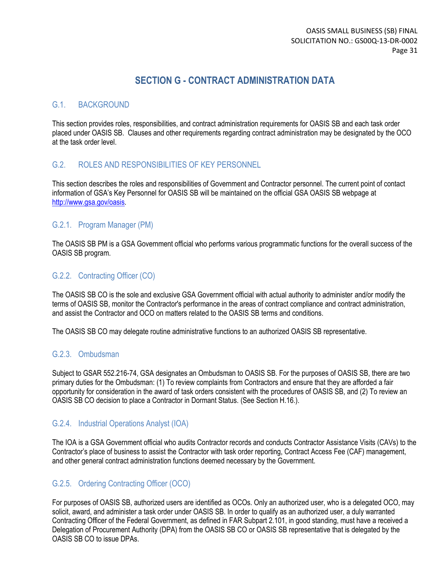## **SECTION G - CONTRACT ADMINISTRATION DATA**

### G.1. BACKGROUND

This section provides roles, responsibilities, and contract administration requirements for OASIS SB and each task order placed under OASIS SB. Clauses and other requirements regarding contract administration may be designated by the OCO at the task order level.

### G.2. ROLES AND RESPONSIBILITIES OF KEY PERSONNEL

This section describes the roles and responsibilities of Government and Contractor personnel. The current point of contact information of GSA's Key Personnel for OASIS SB will be maintained on the official GSA OASIS SB webpage at [http://www.gsa.gov/oasis.](http://www.gsa.gov/oasis)

#### G.2.1. Program Manager (PM)

The OASIS SB PM is a GSA Government official who performs various programmatic functions for the overall success of the OASIS SB program.

#### G.2.2. Contracting Officer (CO)

The OASIS SB CO is the sole and exclusive GSA Government official with actual authority to administer and/or modify the terms of OASIS SB, monitor the Contractor's performance in the areas of contract compliance and contract administration, and assist the Contractor and OCO on matters related to the OASIS SB terms and conditions.

The OASIS SB CO may delegate routine administrative functions to an authorized OASIS SB representative.

#### G.2.3. Ombudsman

Subject to GSAR 552.216-74, GSA designates an Ombudsman to OASIS SB. For the purposes of OASIS SB, there are two primary duties for the Ombudsman: (1) To review complaints from Contractors and ensure that they are afforded a fair opportunity for consideration in the award of task orders consistent with the procedures of OASIS SB, and (2) To review an OASIS SB CO decision to place a Contractor in Dormant Status. (See Section H.16.).

### G.2.4. Industrial Operations Analyst (IOA)

The IOA is a GSA Government official who audits Contractor records and conducts Contractor Assistance Visits (CAVs) to the Contractor's place of business to assist the Contractor with task order reporting, Contract Access Fee (CAF) management, and other general contract administration functions deemed necessary by the Government.

### G.2.5. Ordering Contracting Officer (OCO)

For purposes of OASIS SB, authorized users are identified as OCOs. Only an authorized user, who is a delegated OCO, may solicit, award, and administer a task order under OASIS SB. In order to qualify as an authorized user, a duly warranted Contracting Officer of the Federal Government, as defined in FAR Subpart 2.101, in good standing, must have a received a Delegation of Procurement Authority (DPA) from the OASIS SB CO or OASIS SB representative that is delegated by the OASIS SB CO to issue DPAs.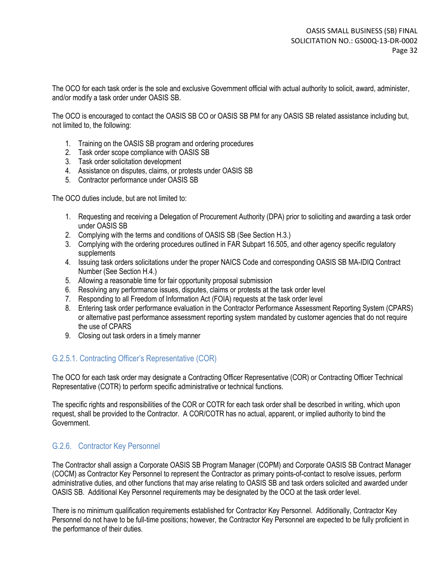The OCO for each task order is the sole and exclusive Government official with actual authority to solicit, award, administer, and/or modify a task order under OASIS SB.

The OCO is encouraged to contact the OASIS SB CO or OASIS SB PM for any OASIS SB related assistance including but, not limited to, the following:

- 1. Training on the OASIS SB program and ordering procedures
- 2. Task order scope compliance with OASIS SB
- 3. Task order solicitation development
- 4. Assistance on disputes, claims, or protests under OASIS SB
- 5. Contractor performance under OASIS SB

The OCO duties include, but are not limited to:

- 1. Requesting and receiving a Delegation of Procurement Authority (DPA) prior to soliciting and awarding a task order under OASIS SB
- 2. Complying with the terms and conditions of OASIS SB (See Section H.3.)
- 3. Complying with the ordering procedures outlined in FAR Subpart 16.505, and other agency specific regulatory supplements
- 4. Issuing task orders solicitations under the proper NAICS Code and corresponding OASIS SB MA-IDIQ Contract Number (See Section H.4.)
- 5. Allowing a reasonable time for fair opportunity proposal submission
- 6. Resolving any performance issues, disputes, claims or protests at the task order level
- 7. Responding to all Freedom of Information Act (FOIA) requests at the task order level
- 8. Entering task order performance evaluation in the Contractor Performance Assessment Reporting System (CPARS) or alternative past performance assessment reporting system mandated by customer agencies that do not require the use of CPARS
- 9. Closing out task orders in a timely manner

### G.2.5.1. Contracting Officer's Representative (COR)

The OCO for each task order may designate a Contracting Officer Representative (COR) or Contracting Officer Technical Representative (COTR) to perform specific administrative or technical functions.

The specific rights and responsibilities of the COR or COTR for each task order shall be described in writing, which upon request, shall be provided to the Contractor. A COR/COTR has no actual, apparent, or implied authority to bind the Government.

#### G.2.6. Contractor Key Personnel

The Contractor shall assign a Corporate OASIS SB Program Manager (COPM) and Corporate OASIS SB Contract Manager (COCM) as Contractor Key Personnel to represent the Contractor as primary points-of-contact to resolve issues, perform administrative duties, and other functions that may arise relating to OASIS SB and task orders solicited and awarded under OASIS SB. Additional Key Personnel requirements may be designated by the OCO at the task order level.

There is no minimum qualification requirements established for Contractor Key Personnel. Additionally, Contractor Key Personnel do not have to be full-time positions; however, the Contractor Key Personnel are expected to be fully proficient in the performance of their duties.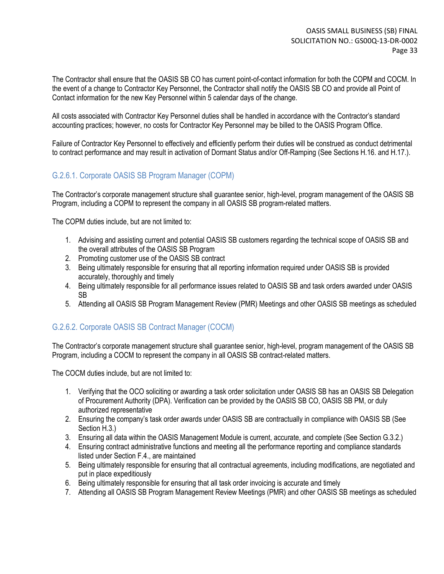The Contractor shall ensure that the OASIS SB CO has current point-of-contact information for both the COPM and COCM. In the event of a change to Contractor Key Personnel, the Contractor shall notify the OASIS SB CO and provide all Point of Contact information for the new Key Personnel within 5 calendar days of the change.

All costs associated with Contractor Key Personnel duties shall be handled in accordance with the Contractor's standard accounting practices; however, no costs for Contractor Key Personnel may be billed to the OASIS Program Office.

Failure of Contractor Key Personnel to effectively and efficiently perform their duties will be construed as conduct detrimental to contract performance and may result in activation of Dormant Status and/or Off-Ramping (See Sections H.16. and H.17.).

### G.2.6.1. Corporate OASIS SB Program Manager (COPM)

The Contractor's corporate management structure shall guarantee senior, high-level, program management of the OASIS SB Program, including a COPM to represent the company in all OASIS SB program-related matters.

The COPM duties include, but are not limited to:

- 1. Advising and assisting current and potential OASIS SB customers regarding the technical scope of OASIS SB and the overall attributes of the OASIS SB Program
- 2. Promoting customer use of the OASIS SB contract
- 3. Being ultimately responsible for ensuring that all reporting information required under OASIS SB is provided accurately, thoroughly and timely
- 4. Being ultimately responsible for all performance issues related to OASIS SB and task orders awarded under OASIS SB
- 5. Attending all OASIS SB Program Management Review (PMR) Meetings and other OASIS SB meetings as scheduled

### G.2.6.2. Corporate OASIS SB Contract Manager (COCM)

The Contractor's corporate management structure shall guarantee senior, high-level, program management of the OASIS SB Program, including a COCM to represent the company in all OASIS SB contract-related matters.

The COCM duties include, but are not limited to:

- 1. Verifying that the OCO soliciting or awarding a task order solicitation under OASIS SB has an OASIS SB Delegation of Procurement Authority (DPA). Verification can be provided by the OASIS SB CO, OASIS SB PM, or duly authorized representative
- 2. Ensuring the company's task order awards under OASIS SB are contractually in compliance with OASIS SB (See Section H.3.)
- 3. Ensuring all data within the OASIS Management Module is current, accurate, and complete (See Section G.3.2.)
- 4. Ensuring contract administrative functions and meeting all the performance reporting and compliance standards listed under Section F.4., are maintained
- 5. Being ultimately responsible for ensuring that all contractual agreements, including modifications, are negotiated and put in place expeditiously
- 6. Being ultimately responsible for ensuring that all task order invoicing is accurate and timely
- 7. Attending all OASIS SB Program Management Review Meetings (PMR) and other OASIS SB meetings as scheduled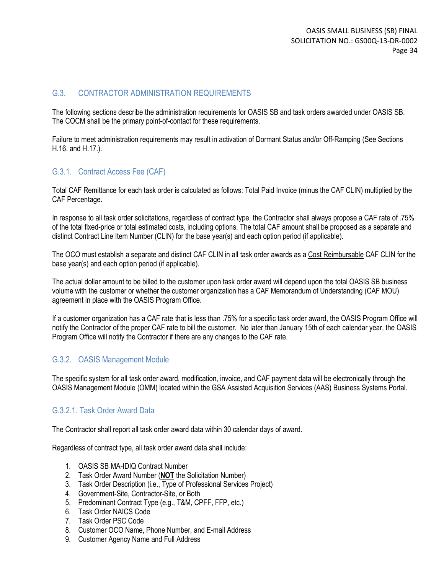#### G.3. CONTRACTOR ADMINISTRATION REQUIREMENTS

The following sections describe the administration requirements for OASIS SB and task orders awarded under OASIS SB. The COCM shall be the primary point-of-contact for these requirements.

Failure to meet administration requirements may result in activation of Dormant Status and/or Off-Ramping (See Sections H.16. and H.17.).

#### G.3.1. Contract Access Fee (CAF)

Total CAF Remittance for each task order is calculated as follows: Total Paid Invoice (minus the CAF CLIN) multiplied by the CAF Percentage.

In response to all task order solicitations, regardless of contract type, the Contractor shall always propose a CAF rate of .75% of the total fixed-price or total estimated costs, including options. The total CAF amount shall be proposed as a separate and distinct Contract Line Item Number (CLIN) for the base year(s) and each option period (if applicable).

The OCO must establish a separate and distinct CAF CLIN in all task order awards as a Cost Reimbursable CAF CLIN for the base year(s) and each option period (if applicable).

The actual dollar amount to be billed to the customer upon task order award will depend upon the total OASIS SB business volume with the customer or whether the customer organization has a CAF Memorandum of Understanding (CAF MOU) agreement in place with the OASIS Program Office.

If a customer organization has a CAF rate that is less than .75% for a specific task order award, the OASIS Program Office will notify the Contractor of the proper CAF rate to bill the customer. No later than January 15th of each calendar year, the OASIS Program Office will notify the Contractor if there are any changes to the CAF rate.

#### G.3.2. OASIS Management Module

The specific system for all task order award, modification, invoice, and CAF payment data will be electronically through the OASIS Management Module (OMM) located within the GSA Assisted Acquisition Services (AAS) Business Systems Portal.

#### G.3.2.1. Task Order Award Data

The Contractor shall report all task order award data within 30 calendar days of award.

Regardless of contract type, all task order award data shall include:

- 1. OASIS SB MA-IDIQ Contract Number
- 2. Task Order Award Number (**NOT** the Solicitation Number)
- 3. Task Order Description (i.e., Type of Professional Services Project)
- 4. Government-Site, Contractor-Site, or Both
- 5. Predominant Contract Type (e.g., T&M, CPFF, FFP, etc.)
- 6. Task Order NAICS Code
- 7. Task Order PSC Code
- 8. Customer OCO Name, Phone Number, and E-mail Address
- 9. Customer Agency Name and Full Address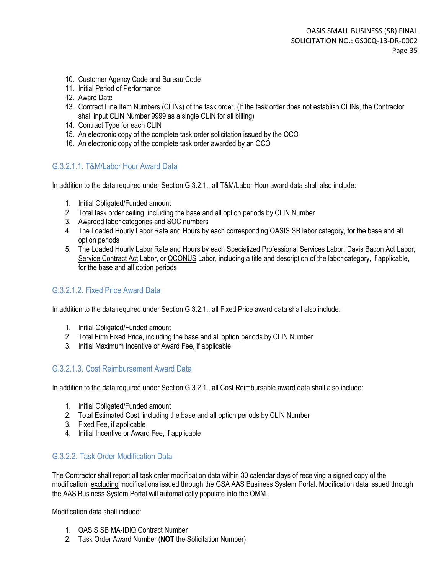- 10. Customer Agency Code and Bureau Code
- 11. Initial Period of Performance
- 12. Award Date
- 13. Contract Line Item Numbers (CLINs) of the task order. (If the task order does not establish CLINs, the Contractor shall input CLIN Number 9999 as a single CLIN for all billing)
- 14. Contract Type for each CLIN
- 15. An electronic copy of the complete task order solicitation issued by the OCO
- 16. An electronic copy of the complete task order awarded by an OCO

#### G.3.2.1.1. T&M/Labor Hour Award Data

In addition to the data required under Section G.3.2.1., all T&M/Labor Hour award data shall also include:

- 1. Initial Obligated/Funded amount
- 2. Total task order ceiling, including the base and all option periods by CLIN Number
- 3. Awarded labor categories and SOC numbers
- 4. The Loaded Hourly Labor Rate and Hours by each corresponding OASIS SB labor category, for the base and all option periods
- 5. The Loaded Hourly Labor Rate and Hours by each Specialized Professional Services Labor, Davis Bacon Act Labor, Service Contract Act Labor, or OCONUS Labor, including a title and description of the labor category, if applicable, for the base and all option periods

### G.3.2.1.2. Fixed Price Award Data

In addition to the data required under Section G.3.2.1., all Fixed Price award data shall also include:

- 1. Initial Obligated/Funded amount
- 2. Total Firm Fixed Price, including the base and all option periods by CLIN Number
- 3. Initial Maximum Incentive or Award Fee, if applicable

#### G.3.2.1.3. Cost Reimbursement Award Data

In addition to the data required under Section G.3.2.1., all Cost Reimbursable award data shall also include:

- 1. Initial Obligated/Funded amount
- 2. Total Estimated Cost, including the base and all option periods by CLIN Number
- 3. Fixed Fee, if applicable
- 4. Initial Incentive or Award Fee, if applicable

#### G.3.2.2. Task Order Modification Data

The Contractor shall report all task order modification data within 30 calendar days of receiving a signed copy of the modification, excluding modifications issued through the GSA AAS Business System Portal. Modification data issued through the AAS Business System Portal will automatically populate into the OMM.

Modification data shall include:

- 1. OASIS SB MA-IDIQ Contract Number
- 2. Task Order Award Number (**NOT** the Solicitation Number)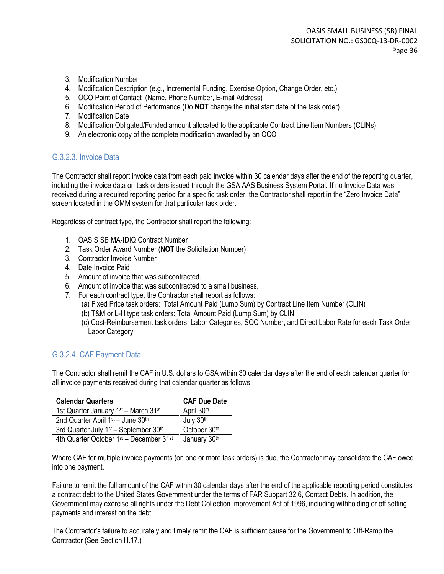- 3. Modification Number
- 4. Modification Description (e.g., Incremental Funding, Exercise Option, Change Order, etc.)
- 5. OCO Point of Contact (Name, Phone Number, E-mail Address)
- 6. Modification Period of Performance (Do **NOT** change the initial start date of the task order)
- 7. Modification Date
- 8. Modification Obligated/Funded amount allocated to the applicable Contract Line Item Numbers (CLINs)
- 9. An electronic copy of the complete modification awarded by an OCO

#### G.3.2.3. Invoice Data

The Contractor shall report invoice data from each paid invoice within 30 calendar days after the end of the reporting quarter, including the invoice data on task orders issued through the GSA AAS Business System Portal. If no Invoice Data was received during a required reporting period for a specific task order, the Contractor shall report in the "Zero Invoice Data" screen located in the OMM system for that particular task order.

Regardless of contract type, the Contractor shall report the following:

- 1. OASIS SB MA-IDIQ Contract Number
- 2. Task Order Award Number (**NOT** the Solicitation Number)
- 3. Contractor Invoice Number
- 4. Date Invoice Paid
- 5. Amount of invoice that was subcontracted.
- 6. Amount of invoice that was subcontracted to a small business.
- 7. For each contract type, the Contractor shall report as follows:
	- (a) Fixed Price task orders: Total Amount Paid (Lump Sum) by Contract Line Item Number (CLIN)
	- (b) T&M or L-H type task orders: Total Amount Paid (Lump Sum) by CLIN
	- (c) Cost-Reimbursement task orders: Labor Categories, SOC Number, and Direct Labor Rate for each Task Order Labor Category

### G.3.2.4. CAF Payment Data

The Contractor shall remit the CAF in U.S. dollars to GSA within 30 calendar days after the end of each calendar quarter for all invoice payments received during that calendar quarter as follows:

| <b>Calendar Quarters</b>                                        | <b>CAF Due Date</b> |
|-----------------------------------------------------------------|---------------------|
| 1st Quarter January 1st - March 31st                            | April 30th          |
| 2nd Quarter April 1 <sup>st</sup> – June 30 <sup>th</sup>       | July 30th           |
| 3rd Quarter July 1 <sup>st</sup> - September 30 <sup>th</sup>   | October 30th        |
| 4th Quarter October 1 <sup>st</sup> - December 31 <sup>st</sup> | January 30th        |

Where CAF for multiple invoice payments (on one or more task orders) is due, the Contractor may consolidate the CAF owed into one payment.

Failure to remit the full amount of the CAF within 30 calendar days after the end of the applicable reporting period constitutes a contract debt to the United States Government under the terms of FAR Subpart 32.6, Contact Debts. In addition, the Government may exercise all rights under the Debt Collection Improvement Act of 1996, including withholding or off setting payments and interest on the debt.

The Contractor's failure to accurately and timely remit the CAF is sufficient cause for the Government to Off-Ramp the Contractor (See Section H.17.)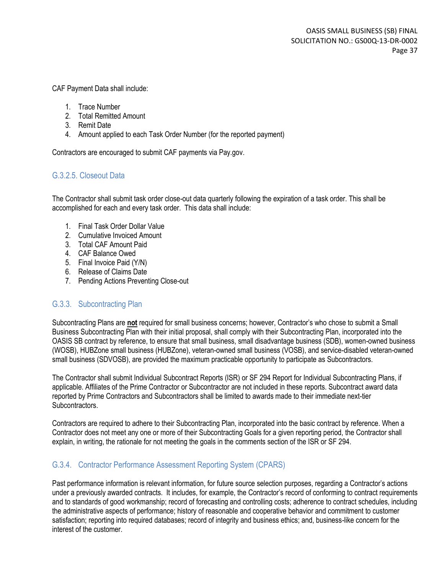CAF Payment Data shall include:

- 1. Trace Number
- 2. Total Remitted Amount
- 3. Remit Date
- 4. Amount applied to each Task Order Number (for the reported payment)

Contractors are encouraged to submit CAF payments via Pay.gov.

### G.3.2.5. Closeout Data

The Contractor shall submit task order close-out data quarterly following the expiration of a task order. This shall be accomplished for each and every task order. This data shall include:

- 1. Final Task Order Dollar Value
- 2. Cumulative Invoiced Amount
- 3. Total CAF Amount Paid
- 4. CAF Balance Owed
- 5. Final Invoice Paid (Y/N)
- 6. Release of Claims Date
- 7. Pending Actions Preventing Close-out

### G.3.3. Subcontracting Plan

Subcontracting Plans are **not** required for small business concerns; however, Contractor's who chose to submit a Small Business Subcontracting Plan with their initial proposal, shall comply with their Subcontracting Plan, incorporated into the OASIS SB contract by reference, to ensure that small business, small disadvantage business (SDB), women-owned business (WOSB), HUBZone small business (HUBZone), veteran-owned small business (VOSB), and service-disabled veteran-owned small business (SDVOSB), are provided the maximum practicable opportunity to participate as Subcontractors.

The Contractor shall submit Individual Subcontract Reports (ISR) or SF 294 Report for Individual Subcontracting Plans, if applicable. Affiliates of the Prime Contractor or Subcontractor are not included in these reports. Subcontract award data reported by Prime Contractors and Subcontractors shall be limited to awards made to their immediate next-tier Subcontractors.

Contractors are required to adhere to their Subcontracting Plan, incorporated into the basic contract by reference. When a Contractor does not meet any one or more of their Subcontracting Goals for a given reporting period, the Contractor shall explain, in writing, the rationale for not meeting the goals in the comments section of the ISR or SF 294.

### G.3.4. Contractor Performance Assessment Reporting System (CPARS)

Past performance information is relevant information, for future source selection purposes, regarding a Contractor's actions under a previously awarded contracts. It includes, for example, the Contractor's record of conforming to contract requirements and to standards of good workmanship; record of forecasting and controlling costs; adherence to contract schedules, including the administrative aspects of performance; history of reasonable and cooperative behavior and commitment to customer satisfaction; reporting into required databases; record of integrity and business ethics; and, business-like concern for the interest of the customer.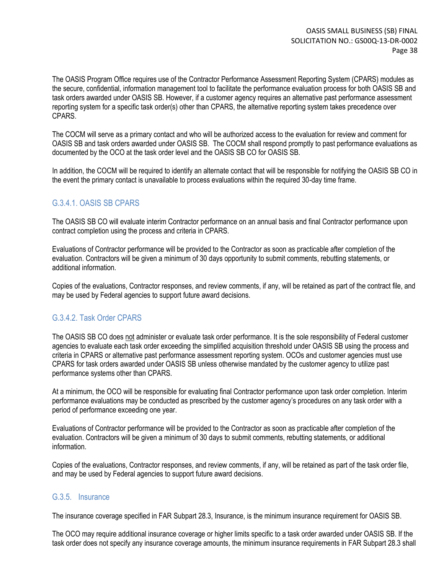The OASIS Program Office requires use of the Contractor Performance Assessment Reporting System (CPARS) modules as the secure, confidential, information management tool to facilitate the performance evaluation process for both OASIS SB and task orders awarded under OASIS SB. However, if a customer agency requires an alternative past performance assessment reporting system for a specific task order(s) other than CPARS, the alternative reporting system takes precedence over CPARS.

The COCM will serve as a primary contact and who will be authorized access to the evaluation for review and comment for OASIS SB and task orders awarded under OASIS SB. The COCM shall respond promptly to past performance evaluations as documented by the OCO at the task order level and the OASIS SB CO for OASIS SB.

In addition, the COCM will be required to identify an alternate contact that will be responsible for notifying the OASIS SB CO in the event the primary contact is unavailable to process evaluations within the required 30-day time frame.

### G.3.4.1. OASIS SB CPARS

The OASIS SB CO will evaluate interim Contractor performance on an annual basis and final Contractor performance upon contract completion using the process and criteria in CPARS.

Evaluations of Contractor performance will be provided to the Contractor as soon as practicable after completion of the evaluation. Contractors will be given a minimum of 30 days opportunity to submit comments, rebutting statements, or additional information.

Copies of the evaluations, Contractor responses, and review comments, if any, will be retained as part of the contract file, and may be used by Federal agencies to support future award decisions.

#### G.3.4.2. Task Order CPARS

The OASIS SB CO does not administer or evaluate task order performance. It is the sole responsibility of Federal customer agencies to evaluate each task order exceeding the simplified acquisition threshold under OASIS SB using the process and criteria in CPARS or alternative past performance assessment reporting system. OCOs and customer agencies must use CPARS for task orders awarded under OASIS SB unless otherwise mandated by the customer agency to utilize past performance systems other than CPARS.

At a minimum, the OCO will be responsible for evaluating final Contractor performance upon task order completion. Interim performance evaluations may be conducted as prescribed by the customer agency's procedures on any task order with a period of performance exceeding one year.

Evaluations of Contractor performance will be provided to the Contractor as soon as practicable after completion of the evaluation. Contractors will be given a minimum of 30 days to submit comments, rebutting statements, or additional information.

Copies of the evaluations, Contractor responses, and review comments, if any, will be retained as part of the task order file, and may be used by Federal agencies to support future award decisions.

#### G.3.5. Insurance

The insurance coverage specified in FAR Subpart 28.3, Insurance, is the minimum insurance requirement for OASIS SB.

The OCO may require additional insurance coverage or higher limits specific to a task order awarded under OASIS SB. If the task order does not specify any insurance coverage amounts, the minimum insurance requirements in FAR Subpart 28.3 shall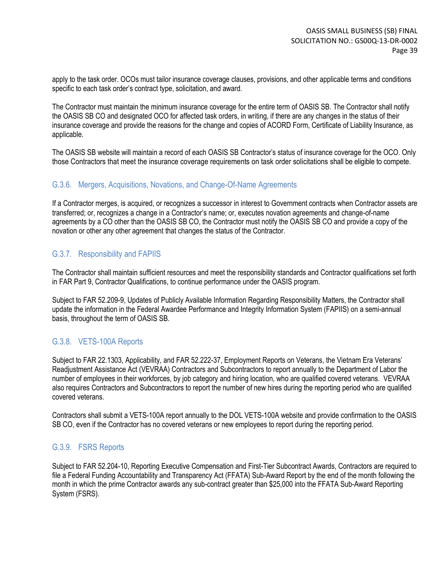apply to the task order. OCOs must tailor insurance coverage clauses, provisions, and other applicable terms and conditions specific to each task order's contract type, solicitation, and award.

The Contractor must maintain the minimum insurance coverage for the entire term of OASIS SB. The Contractor shall notify the OASIS SB CO and designated OCO for affected task orders, in writing, if there are any changes in the status of their insurance coverage and provide the reasons for the change and copies of ACORD Form, Certificate of Liability Insurance, as applicable.

The OASIS SB website will maintain a record of each OASIS SB Contractor's status of insurance coverage for the OCO. Only those Contractors that meet the insurance coverage requirements on task order solicitations shall be eligible to compete.

#### G.3.6. Mergers, Acquisitions, Novations, and Change-Of-Name Agreements

If a Contractor merges, is acquired, or recognizes a successor in interest to Government contracts when Contractor assets are transferred; or, recognizes a change in a Contractor's name; or, executes novation agreements and change-of-name agreements by a CO other than the OASIS SB CO, the Contractor must notify the OASIS SB CO and provide a copy of the novation or other any other agreement that changes the status of the Contractor.

### G.3.7. Responsibility and FAPIIS

The Contractor shall maintain sufficient resources and meet the responsibility standards and Contractor qualifications set forth in FAR Part 9, Contractor Qualifications, to continue performance under the OASIS program.

Subject to FAR 52.209-9, Updates of Publicly Available Information Regarding Responsibility Matters, the Contractor shall update the information in the Federal Awardee Performance and Integrity Information System (FAPIIS) on a semi-annual basis, throughout the term of OASIS SB.

### G.3.8. VETS-100A Reports

Subject to FAR 22.1303, Applicability, and FAR 52.222-37, Employment Reports on Veterans, the Vietnam Era Veterans' Readjustment Assistance Act (VEVRAA) Contractors and Subcontractors to report annually to the Department of Labor the number of employees in their workforces, by job category and hiring location, who are qualified covered veterans. VEVRAA also requires Contractors and Subcontractors to report the number of new hires during the reporting period who are qualified covered veterans.

Contractors shall submit a VETS-100A report annually to the DOL VETS-100A website and provide confirmation to the OASIS SB CO, even if the Contractor has no covered veterans or new employees to report during the reporting period.

### G.3.9. FSRS Reports

Subject to FAR 52.204-10, Reporting Executive Compensation and First-Tier Subcontract Awards, Contractors are required to file a Federal Funding Accountability and Transparency Act (FFATA) Sub-Award Report by the end of the month following the month in which the prime Contractor awards any sub-contract greater than \$25,000 into the FFATA Sub-Award Reporting System (FSRS).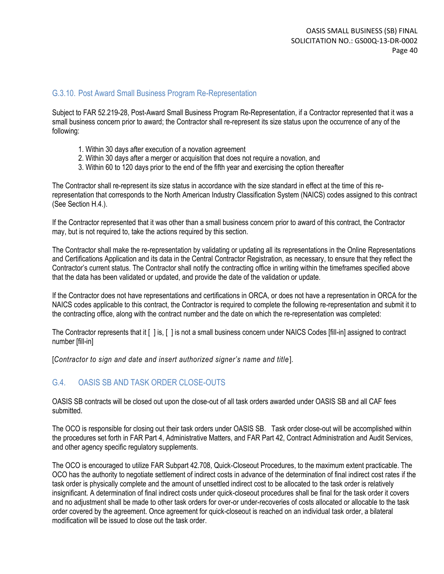#### G.3.10. Post Award Small Business Program Re-Representation

Subject to FAR 52.219-28, Post-Award Small Business Program Re-Representation, if a Contractor represented that it was a small business concern prior to award; the Contractor shall re-represent its size status upon the occurrence of any of the following:

- 1. Within 30 days after execution of a novation agreement
- 2. Within 30 days after a merger or acquisition that does not require a novation, and
- 3. Within 60 to 120 days prior to the end of the fifth year and exercising the option thereafter

The Contractor shall re-represent its size status in accordance with the size standard in effect at the time of this rerepresentation that corresponds to the North American Industry Classification System (NAICS) codes assigned to this contract (See Section H.4.).

If the Contractor represented that it was other than a small business concern prior to award of this contract, the Contractor may, but is not required to, take the actions required by this section.

The Contractor shall make the re-representation by validating or updating all its representations in the Online Representations and Certifications Application and its data in the Central Contractor Registration, as necessary, to ensure that they reflect the Contractor's current status. The Contractor shall notify the contracting office in writing within the timeframes specified above that the data has been validated or updated, and provide the date of the validation or update.

If the Contractor does not have representations and certifications in ORCA, or does not have a representation in ORCA for the NAICS codes applicable to this contract, the Contractor is required to complete the following re-representation and submit it to the contracting office, along with the contract number and the date on which the re-representation was completed:

The Contractor represents that it [ ] is, [ ] is not a small business concern under NAICS Codes [fill-in] assigned to contract number [fill-in]

[*Contractor to sign and date and insert authorized signer's name and title* ].

### G.4 OASIS SB AND TASK ORDER CLOSE-OUTS

OASIS SB contracts will be closed out upon the close-out of all task orders awarded under OASIS SB and all CAF fees submitted.

The OCO is responsible for closing out their task orders under OASIS SB. Task order close-out will be accomplished within the procedures set forth in FAR Part 4, Administrative Matters, and FAR Part 42, Contract Administration and Audit Services, and other agency specific regulatory supplements.

The OCO is encouraged to utilize FAR Subpart 42.708, Quick-Closeout Procedures, to the maximum extent practicable. The OCO has the authority to negotiate settlement of indirect costs in advance of the determination of final indirect cost rates if the task order is physically complete and the amount of unsettled indirect cost to be allocated to the task order is relatively insignificant. A determination of final indirect costs under quick-closeout procedures shall be final for the task order it covers and no adjustment shall be made to other task orders for over-or under-recoveries of costs allocated or allocable to the task order covered by the agreement. Once agreement for quick-closeout is reached on an individual task order, a bilateral modification will be issued to close out the task order.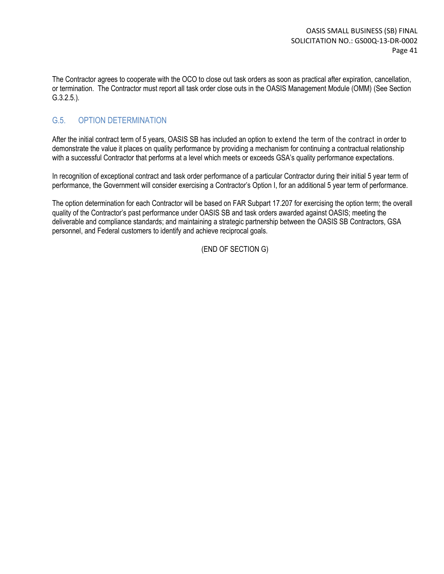The Contractor agrees to cooperate with the OCO to close out task orders as soon as practical after expiration, cancellation, or termination. The Contractor must report all task order close outs in the OASIS Management Module (OMM) (See Section G.3.2.5.).

### G.5. OPTION DETERMINATION

After the initial contract term of 5 years, OASIS SB has included an option to extend the term of the contract in order to demonstrate the value it places on quality performance by providing a mechanism for continuing a contractual relationship with a successful Contractor that performs at a level which meets or exceeds GSA's quality performance expectations.

In recognition of exceptional contract and task order performance of a particular Contractor during their initial 5 year term of performance, the Government will consider exercising a Contractor's Option I, for an additional 5 year term of performance.

The option determination for each Contractor will be based on FAR Subpart 17.207 for exercising the option term; the overall quality of the Contractor's past performance under OASIS SB and task orders awarded against OASIS; meeting the deliverable and compliance standards; and maintaining a strategic partnership between the OASIS SB Contractors, GSA personnel, and Federal customers to identify and achieve reciprocal goals.

(END OF SECTION G)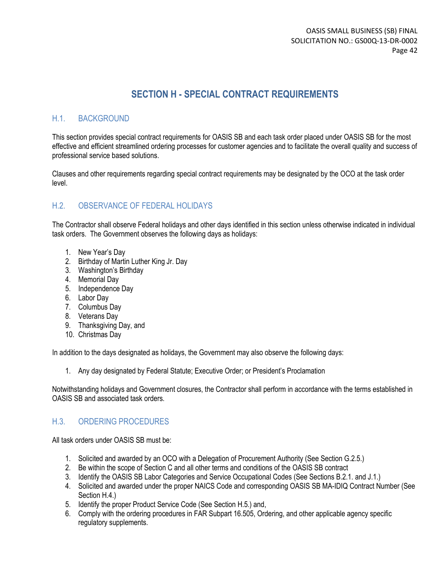## **SECTION H - SPECIAL CONTRACT REQUIREMENTS**

### H.1. BACKGROUND

This section provides special contract requirements for OASIS SB and each task order placed under OASIS SB for the most effective and efficient streamlined ordering processes for customer agencies and to facilitate the overall quality and success of professional service based solutions.

Clauses and other requirements regarding special contract requirements may be designated by the OCO at the task order level.

### H.2. OBSERVANCE OF FEDERAL HOLIDAYS

The Contractor shall observe Federal holidays and other days identified in this section unless otherwise indicated in individual task orders. The Government observes the following days as holidays:

- 1. New Year's Day
- 2. Birthday of Martin Luther King Jr. Day
- 3. Washington's Birthday
- 4. Memorial Day
- 5. Independence Day
- 6. Labor Day
- 7. Columbus Day
- 8. Veterans Day
- 9. Thanksgiving Day, and
- 10. Christmas Day

In addition to the days designated as holidays, the Government may also observe the following days:

1. Any day designated by Federal Statute; Executive Order; or President's Proclamation

Notwithstanding holidays and Government closures, the Contractor shall perform in accordance with the terms established in OASIS SB and associated task orders.

#### H.3. ORDERING PROCEDURES

All task orders under OASIS SB must be:

- 1. Solicited and awarded by an OCO with a Delegation of Procurement Authority (See Section G.2.5.)
- 2. Be within the scope of Section C and all other terms and conditions of the OASIS SB contract
- 3. Identify the OASIS SB Labor Categories and Service Occupational Codes (See Sections B.2.1. and J.1.)
- 4. Solicited and awarded under the proper NAICS Code and corresponding OASIS SB MA-IDIQ Contract Number (See Section H.4.)
- 5. Identify the proper Product Service Code (See Section H.5.) and,
- 6. Comply with the ordering procedures in FAR Subpart 16.505, Ordering, and other applicable agency specific regulatory supplements.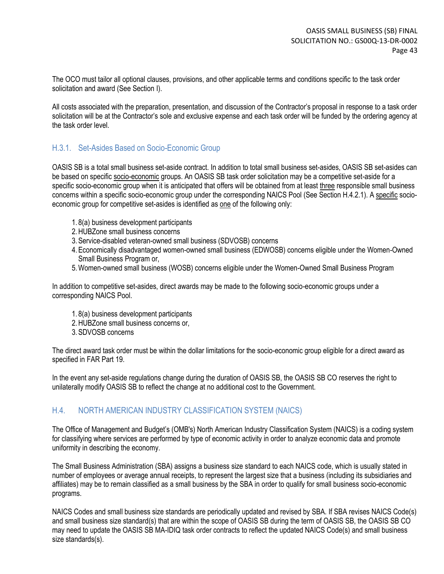The OCO must tailor all optional clauses, provisions, and other applicable terms and conditions specific to the task order solicitation and award (See Section I).

All costs associated with the preparation, presentation, and discussion of the Contractor's proposal in response to a task order solicitation will be at the Contractor's sole and exclusive expense and each task order will be funded by the ordering agency at the task order level.

### H.3.1. Set-Asides Based on Socio-Economic Group

OASIS SB is a total small business set-aside contract. In addition to total small business set-asides, OASIS SB set-asides can be based on specific socio-economic groups. An OASIS SB task order solicitation may be a competitive set-aside for a specific socio-economic group when it is anticipated that offers will be obtained from at least three responsible small business concerns within a specific socio-economic group under the corresponding NAICS Pool (See Section H.4.2.1). A specific socioeconomic group for competitive set-asides is identified as one of the following only:

- 1. 8(a) business development participants
- 2.HUBZone small business concerns
- 3.Service-disabled veteran-owned small business (SDVOSB) concerns
- 4.Economically disadvantaged women-owned small business (EDWOSB) concerns eligible under the Women-Owned Small Business Program or,
- 5.Women-owned small business (WOSB) concerns eligible under the Women-Owned Small Business Program

In addition to competitive set-asides, direct awards may be made to the following socio-economic groups under a corresponding NAICS Pool.

- 1. 8(a) business development participants
- 2.HUBZone small business concerns or,
- 3.SDVOSB concerns

The direct award task order must be within the dollar limitations for the socio-economic group eligible for a direct award as specified in FAR Part 19.

In the event any set-aside regulations change during the duration of OASIS SB, the OASIS SB CO reserves the right to unilaterally modify OASIS SB to reflect the change at no additional cost to the Government.

### H.4. NORTH AMERICAN INDUSTRY CLASSIFICATION SYSTEM (NAICS)

The Office of Management and Budget's (OMB's) North American Industry Classification System (NAICS) is a coding system for classifying where services are performed by type of economic activity in order to analyze economic data and promote uniformity in describing the economy.

The Small Business Administration (SBA) assigns a business size standard to each NAICS code, which is usually stated in number of employees or average annual receipts, to represent the largest size that a business (including its subsidiaries and affiliates) may be to remain classified as a small business by the SBA in order to qualify for small business socio-economic programs.

NAICS Codes and small business size standards are periodically updated and revised by SBA. If SBA revises NAICS Code(s) and small business size standard(s) that are within the scope of OASIS SB during the term of OASIS SB, the OASIS SB CO may need to update the OASIS SB MA-IDIQ task order contracts to reflect the updated NAICS Code(s) and small business size standards(s).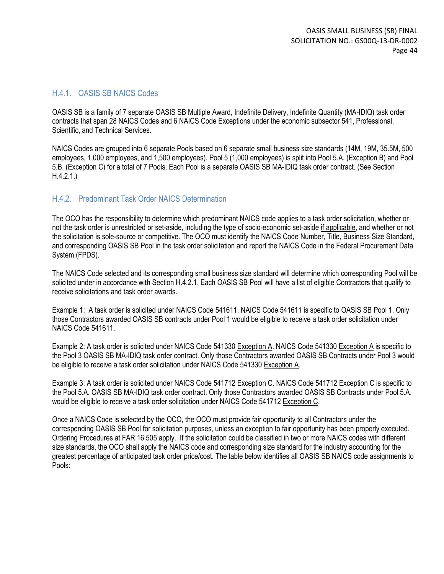#### H.4.1. OASIS SB NAICS Codes

OASIS SB is a family of 7 separate OASIS SB Multiple Award, Indefinite Delivery, Indefinite Quantity (MA-IDIQ) task order contracts that span 28 NAICS Codes and 6 NAICS Code Exceptions under the economic subsector 541, Professional, Scientific, and Technical Services.

NAICS Codes are grouped into 6 separate Pools based on 6 separate small business size standards (14M, 19M, 35.5M, 500 employees, 1,000 employees, and 1,500 employees). Pool 5 (1,000 employees) is split into Pool 5.A. (Exception B) and Pool 5.B. (Exception C) for a total of 7 Pools. Each Pool is a separate OASIS SB MA-IDIQ task order contract. (See Section H.4.2.1.)

#### H.4.2. Predominant Task Order NAICS Determination

The OCO has the responsibility to determine which predominant NAICS code applies to a task order solicitation, whether or not the task order is unrestricted or set-aside, including the type of socio-economic set-aside if applicable, and whether or not the solicitation is sole-source or competitive. The OCO must identify the NAICS Code Number, Title, Business Size Standard, and corresponding OASIS SB Pool in the task order solicitation and report the NAICS Code in the Federal Procurement Data System (FPDS).

The NAICS Code selected and its corresponding small business size standard will determine which corresponding Pool will be solicited under in accordance with Section H.4.2.1. Each OASIS SB Pool will have a list of eligible Contractors that qualify to receive solicitations and task order awards.

Example 1: A task order is solicited under NAICS Code 541611. NAICS Code 541611 is specific to OASIS SB Pool 1. Only those Contractors awarded OASIS SB contracts under Pool 1 would be eligible to receive a task order solicitation under NAICS Code 541611.

Example 2: A task order is solicited under NAICS Code 541330 Exception A. NAICS Code 541330 Exception A is specific to the Pool 3 OASIS SB MA-IDIQ task order contract. Only those Contractors awarded OASIS SB Contracts under Pool 3 would be eligible to receive a task order solicitation under NAICS Code 541330 Exception A.

Example 3: A task order is solicited under NAICS Code 541712 Exception C. NAICS Code 541712 Exception C is specific to the Pool 5.A. OASIS SB MA-IDIQ task order contract. Only those Contractors awarded OASIS SB Contracts under Pool 5.A. would be eligible to receive a task order solicitation under NAICS Code 541712 Exception C.

Once a NAICS Code is selected by the OCO, the OCO must provide fair opportunity to all Contractors under the corresponding OASIS SB Pool for solicitation purposes, unless an exception to fair opportunity has been properly executed. Ordering Procedures at FAR 16.505 apply. If the solicitation could be classified in two or more NAICS codes with different size standards, the OCO shall apply the NAICS code and corresponding size standard for the industry accounting for the greatest percentage of anticipated task order price/cost. The table below identifies all OASIS SB NAICS code assignments to Pools: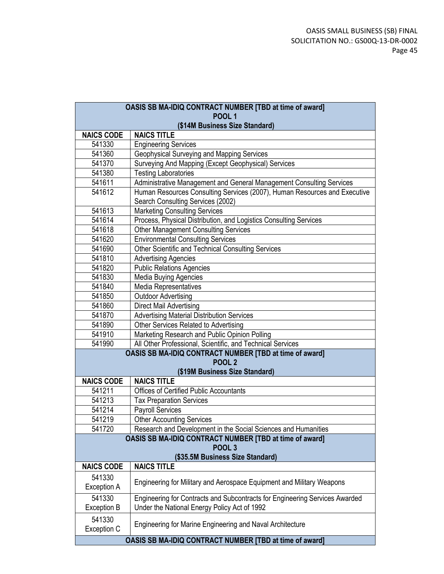| OASIS SB MA-IDIQ CONTRACT NUMBER [TBD at time of award] |                                                                             |  |  |
|---------------------------------------------------------|-----------------------------------------------------------------------------|--|--|
| <b>POOL 1</b><br>(\$14M Business Size Standard)         |                                                                             |  |  |
| <b>NAICS CODE</b>                                       | <b>NAICS TITLE</b>                                                          |  |  |
| 541330                                                  | <b>Engineering Services</b>                                                 |  |  |
| 541360                                                  | Geophysical Surveying and Mapping Services                                  |  |  |
| 541370                                                  | Surveying And Mapping (Except Geophysical) Services                         |  |  |
| 541380                                                  | <b>Testing Laboratories</b>                                                 |  |  |
| 541611                                                  | Administrative Management and General Management Consulting Services        |  |  |
| 541612                                                  | Human Resources Consulting Services (2007), Human Resources and Executive   |  |  |
|                                                         | Search Consulting Services (2002)                                           |  |  |
| 541613                                                  | <b>Marketing Consulting Services</b>                                        |  |  |
| 541614                                                  | Process, Physical Distribution, and Logistics Consulting Services           |  |  |
| 541618                                                  | <b>Other Management Consulting Services</b>                                 |  |  |
| 541620                                                  | <b>Environmental Consulting Services</b>                                    |  |  |
| 541690                                                  | Other Scientific and Technical Consulting Services                          |  |  |
| 541810                                                  | <b>Advertising Agencies</b>                                                 |  |  |
| 541820                                                  | <b>Public Relations Agencies</b>                                            |  |  |
| 541830                                                  | <b>Media Buying Agencies</b>                                                |  |  |
| 541840                                                  | Media Representatives                                                       |  |  |
| 541850                                                  | <b>Outdoor Advertising</b>                                                  |  |  |
| 541860                                                  | <b>Direct Mail Advertising</b>                                              |  |  |
| 541870                                                  | <b>Advertising Material Distribution Services</b>                           |  |  |
| 541890                                                  | Other Services Related to Advertising                                       |  |  |
| 541910                                                  | Marketing Research and Public Opinion Polling                               |  |  |
| 541990                                                  | All Other Professional, Scientific, and Technical Services                  |  |  |
|                                                         | OASIS SB MA-IDIQ CONTRACT NUMBER [TBD at time of award]<br><b>POOL 2</b>    |  |  |
|                                                         | (\$19M Business Size Standard)                                              |  |  |
| <b>NAICS CODE</b>                                       | <b>NAICS TITLE</b>                                                          |  |  |
| 541211                                                  | <b>Offices of Certified Public Accountants</b>                              |  |  |
| 541213                                                  | <b>Tax Preparation Services</b>                                             |  |  |
| 541214                                                  | <b>Payroll Services</b>                                                     |  |  |
| 541219                                                  | Other Accounting Services                                                   |  |  |
| 541720                                                  | Research and Development in the Social Sciences and Humanities              |  |  |
|                                                         | OASIS SB MA-IDIQ CONTRACT NUMBER [TBD at time of award]                     |  |  |
|                                                         | POOL <sub>3</sub>                                                           |  |  |
| (\$35.5M Business Size Standard)                        |                                                                             |  |  |
| <b>NAICS CODE</b>                                       | <b>NAICS TITLE</b>                                                          |  |  |
| 541330<br>Exception A                                   | Engineering for Military and Aerospace Equipment and Military Weapons       |  |  |
| 541330                                                  | Engineering for Contracts and Subcontracts for Engineering Services Awarded |  |  |
| <b>Exception B</b>                                      | Under the National Energy Policy Act of 1992                                |  |  |
| 541330<br>Exception C                                   | Engineering for Marine Engineering and Naval Architecture                   |  |  |
|                                                         | OASIS SB MA-IDIQ CONTRACT NUMBER [TBD at time of award]                     |  |  |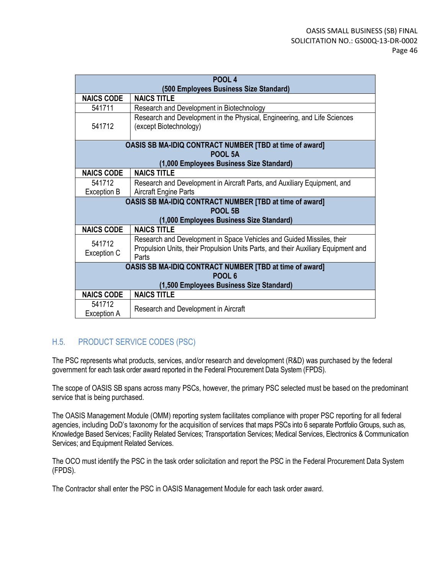|                                          | POOL <sub>4</sub>                                                                                  |  |  |
|------------------------------------------|----------------------------------------------------------------------------------------------------|--|--|
|                                          | (500 Employees Business Size Standard)                                                             |  |  |
| <b>NAICS CODE</b>                        | <b>NAICS TITLE</b>                                                                                 |  |  |
| 541711                                   | Research and Development in Biotechnology                                                          |  |  |
| 541712                                   | Research and Development in the Physical, Engineering, and Life Sciences<br>(except Biotechnology) |  |  |
|                                          | <b>OASIS SB MA-IDIQ CONTRACT NUMBER [TBD at time of award]</b><br>POOL 5A                          |  |  |
|                                          | (1,000 Employees Business Size Standard)                                                           |  |  |
| <b>NAICS CODE</b>                        | <b>NAICS TITLE</b>                                                                                 |  |  |
| 541712                                   | Research and Development in Aircraft Parts, and Auxiliary Equipment, and                           |  |  |
| Exception B                              | <b>Aircraft Engine Parts</b>                                                                       |  |  |
|                                          | <b>OASIS SB MA-IDIQ CONTRACT NUMBER [TBD at time of award]</b>                                     |  |  |
|                                          | POOL 5B                                                                                            |  |  |
|                                          | (1,000 Employees Business Size Standard)                                                           |  |  |
| <b>NAICS CODE</b>                        | <b>NAICS TITLE</b>                                                                                 |  |  |
| 541712                                   | Research and Development in Space Vehicles and Guided Missiles, their                              |  |  |
| Exception C                              | Propulsion Units, their Propulsion Units Parts, and their Auxiliary Equipment and<br>Parts         |  |  |
|                                          | <b>OASIS SB MA-IDIQ CONTRACT NUMBER [TBD at time of award]</b>                                     |  |  |
| POOL <sub>6</sub>                        |                                                                                                    |  |  |
| (1,500 Employees Business Size Standard) |                                                                                                    |  |  |
| <b>NAICS CODE</b>                        | <b>NAICS TITLE</b>                                                                                 |  |  |
| 541712<br>Exception A                    | Research and Development in Aircraft                                                               |  |  |

### H.5. PRODUCT SERVICE CODES (PSC)

The PSC represents what products, services, and/or research and development (R&D) was purchased by the federal government for each task order award reported in the Federal Procurement Data System (FPDS).

The scope of OASIS SB spans across many PSCs, however, the primary PSC selected must be based on the predominant service that is being purchased.

The OASIS Management Module (OMM) reporting system facilitates compliance with proper PSC reporting for all federal agencies, including DoD's taxonomy for the acquisition of services that maps PSCs into 6 separate Portfolio Groups, such as, Knowledge Based Services; Facility Related Services; Transportation Services; Medical Services, Electronics & Communication Services; and Equipment Related Services.

The OCO must identify the PSC in the task order solicitation and report the PSC in the Federal Procurement Data System (FPDS).

The Contractor shall enter the PSC in OASIS Management Module for each task order award.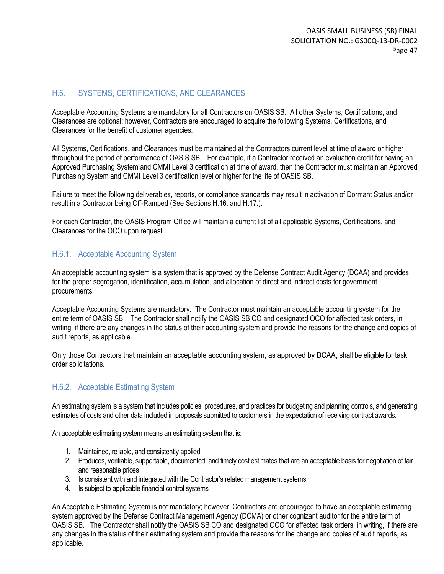### H.6. SYSTEMS, CERTIFICATIONS, AND CLEARANCES

Acceptable Accounting Systems are mandatory for all Contractors on OASIS SB. All other Systems, Certifications, and Clearances are optional; however, Contractors are encouraged to acquire the following Systems, Certifications, and Clearances for the benefit of customer agencies.

All Systems, Certifications, and Clearances must be maintained at the Contractors current level at time of award or higher throughout the period of performance of OASIS SB. For example, if a Contractor received an evaluation credit for having an Approved Purchasing System and CMMI Level 3 certification at time of award, then the Contractor must maintain an Approved Purchasing System and CMMI Level 3 certification level or higher for the life of OASIS SB.

Failure to meet the following deliverables, reports, or compliance standards may result in activation of Dormant Status and/or result in a Contractor being Off-Ramped (See Sections H.16. and H.17.).

For each Contractor, the OASIS Program Office will maintain a current list of all applicable Systems, Certifications, and Clearances for the OCO upon request.

#### H.6.1. Acceptable Accounting System

An acceptable accounting system is a system that is approved by the Defense Contract Audit Agency (DCAA) and provides for the proper segregation, identification, accumulation, and allocation of direct and indirect costs for government procurements

Acceptable Accounting Systems are mandatory. The Contractor must maintain an acceptable accounting system for the entire term of OASIS SB. The Contractor shall notify the OASIS SB CO and designated OCO for affected task orders, in writing, if there are any changes in the status of their accounting system and provide the reasons for the change and copies of audit reports, as applicable.

Only those Contractors that maintain an acceptable accounting system, as approved by DCAA, shall be eligible for task order solicitations.

### H.6.2. Acceptable Estimating System

An estimating system is a system that includes policies, procedures, and practices for budgeting and planning controls, and generating estimates of costs and other data included in proposals submitted to customers in the expectation of receiving contract awards.

An acceptable estimating system means an estimating system that is:

- 1. Maintained, reliable, and consistently applied
- 2. Produces, verifiable, supportable, documented, and timely cost estimates that are an acceptable basis for negotiation of fair and reasonable prices
- 3. Is consistent with and integrated with the Contractor's related management systems
- 4. Is subject to applicable financial control systems

An Acceptable Estimating System is not mandatory; however, Contractors are encouraged to have an acceptable estimating system approved by the Defense Contract Management Agency (DCMA) or other cognizant auditor for the entire term of OASIS SB. The Contractor shall notify the OASIS SB CO and designated OCO for affected task orders, in writing, if there are any changes in the status of their estimating system and provide the reasons for the change and copies of audit reports, as applicable.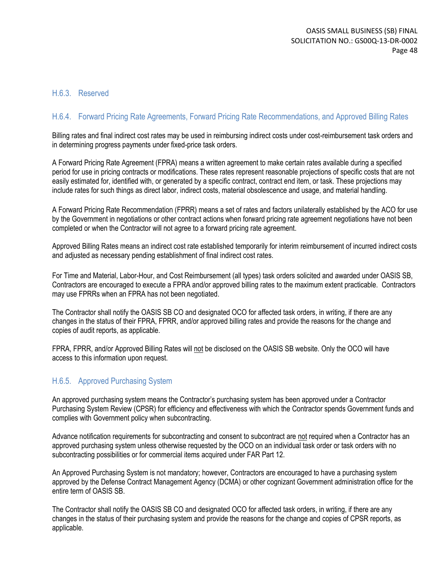#### H.6.3. Reserved

### H.6.4. Forward Pricing Rate Agreements, Forward Pricing Rate Recommendations, and Approved Billing Rates

Billing rates and final indirect cost rates may be used in reimbursing indirect costs under cost-reimbursement task orders and in determining progress payments under fixed-price task orders.

A Forward Pricing Rate Agreement (FPRA) means a written agreement to make certain rates available during a specified period for use in pricing contracts or modifications. These rates represent reasonable projections of specific costs that are not easily estimated for, identified with, or generated by a specific contract, contract end item, or task. These projections may include rates for such things as direct labor, indirect costs, material obsolescence and usage, and material handling.

A Forward Pricing Rate Recommendation (FPRR) means a set of rates and factors unilaterally established by the ACO for use by the Government in negotiations or other contract actions when forward pricing rate agreement negotiations have not been completed or when the Contractor will not agree to a forward pricing rate agreement.

Approved Billing Rates means an indirect cost rate established temporarily for interim reimbursement of incurred indirect costs and adjusted as necessary pending establishment of final indirect cost rates.

For Time and Material, Labor-Hour, and Cost Reimbursement (all types) task orders solicited and awarded under OASIS SB, Contractors are encouraged to execute a FPRA and/or approved billing rates to the maximum extent practicable. Contractors may use FPRRs when an FPRA has not been negotiated.

The Contractor shall notify the OASIS SB CO and designated OCO for affected task orders, in writing, if there are any changes in the status of their FPRA, FPRR, and/or approved billing rates and provide the reasons for the change and copies of audit reports, as applicable.

FPRA, FPRR, and/or Approved Billing Rates will not be disclosed on the OASIS SB website. Only the OCO will have access to this information upon request.

#### H.6.5. Approved Purchasing System

An approved purchasing system means the Contractor's purchasing system has been approved under a Contractor Purchasing System Review (CPSR) for efficiency and effectiveness with which the Contractor spends Government funds and complies with Government policy when subcontracting.

Advance notification requirements for subcontracting and consent to subcontract are not required when a Contractor has an approved purchasing system unless otherwise requested by the OCO on an individual task order or task orders with no subcontracting possibilities or for commercial items acquired under FAR Part 12.

An Approved Purchasing System is not mandatory; however, Contractors are encouraged to have a purchasing system approved by the Defense Contract Management Agency (DCMA) or other cognizant Government administration office for the entire term of OASIS SB.

The Contractor shall notify the OASIS SB CO and designated OCO for affected task orders, in writing, if there are any changes in the status of their purchasing system and provide the reasons for the change and copies of CPSR reports, as applicable.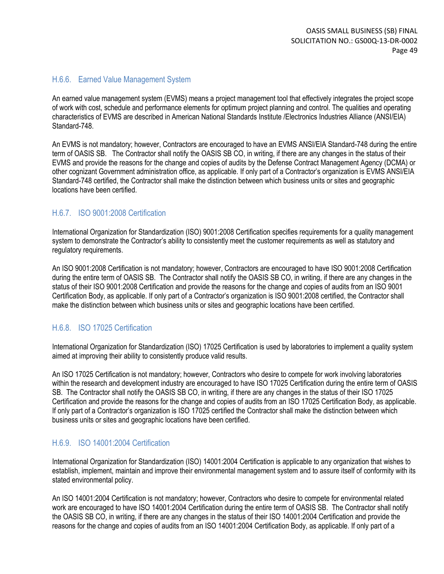#### H.6.6. Earned Value Management System

An earned value management system (EVMS) means a project management tool that effectively integrates the project scope of work with cost, schedule and performance elements for optimum project planning and control. The qualities and operating characteristics of EVMS are described in American National Standards Institute /Electronics Industries Alliance (ANSI/EIA) Standard-748.

An EVMS is not mandatory; however, Contractors are encouraged to have an EVMS ANSI/EIA Standard-748 during the entire term of OASIS SB. The Contractor shall notify the OASIS SB CO, in writing, if there are any changes in the status of their EVMS and provide the reasons for the change and copies of audits by the Defense Contract Management Agency (DCMA) or other cognizant Government administration office, as applicable. If only part of a Contractor's organization is EVMS ANSI/EIA Standard-748 certified, the Contractor shall make the distinction between which business units or sites and geographic locations have been certified.

### H.6.7. ISO 9001:2008 Certification

International Organization for Standardization (ISO) 9001:2008 Certification specifies requirements for a quality management system to demonstrate the Contractor's ability to consistently meet the customer requirements as well as statutory and regulatory requirements.

An ISO 9001:2008 Certification is not mandatory; however, Contractors are encouraged to have ISO 9001:2008 Certification during the entire term of OASIS SB. The Contractor shall notify the OASIS SB CO, in writing, if there are any changes in the status of their ISO 9001:2008 Certification and provide the reasons for the change and copies of audits from an ISO 9001 Certification Body, as applicable. If only part of a Contractor's organization is ISO 9001:2008 certified, the Contractor shall make the distinction between which business units or sites and geographic locations have been certified.

#### H.6.8. ISO 17025 Certification

International Organization for Standardization (ISO) 17025 Certification is used by laboratories to implement a quality system aimed at improving their ability to consistently produce valid results.

An ISO 17025 Certification is not mandatory; however, Contractors who desire to compete for work involving laboratories within the research and development industry are encouraged to have ISO 17025 Certification during the entire term of OASIS SB. The Contractor shall notify the OASIS SB CO, in writing, if there are any changes in the status of their ISO 17025 Certification and provide the reasons for the change and copies of audits from an ISO 17025 Certification Body, as applicable. If only part of a Contractor's organization is ISO 17025 certified the Contractor shall make the distinction between which business units or sites and geographic locations have been certified.

#### H.6.9. ISO 14001:2004 Certification

International Organization for Standardization (ISO) 14001:2004 Certification is applicable to any organization that wishes to establish, implement, maintain and improve their environmental management system and to assure itself of conformity with its stated environmental policy.

An ISO 14001:2004 Certification is not mandatory; however, Contractors who desire to compete for environmental related work are encouraged to have ISO 14001:2004 Certification during the entire term of OASIS SB. The Contractor shall notify the OASIS SB CO, in writing, if there are any changes in the status of their ISO 14001:2004 Certification and provide the reasons for the change and copies of audits from an ISO 14001:2004 Certification Body, as applicable. If only part of a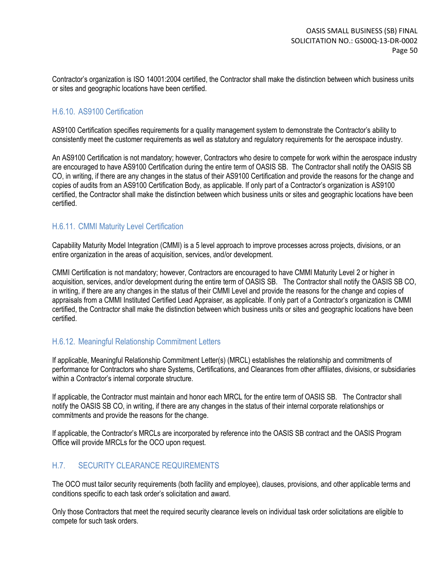Contractor's organization is ISO 14001:2004 certified, the Contractor shall make the distinction between which business units or sites and geographic locations have been certified.

#### H.6.10. AS9100 Certification

AS9100 Certification specifies requirements for a quality management system to demonstrate the Contractor's ability to consistently meet the customer requirements as well as statutory and regulatory requirements for the aerospace industry.

An AS9100 Certification is not mandatory; however, Contractors who desire to compete for work within the aerospace industry are encouraged to have AS9100 Certification during the entire term of OASIS SB. The Contractor shall notify the OASIS SB CO, in writing, if there are any changes in the status of their AS9100 Certification and provide the reasons for the change and copies of audits from an AS9100 Certification Body, as applicable. If only part of a Contractor's organization is AS9100 certified, the Contractor shall make the distinction between which business units or sites and geographic locations have been certified.

#### H.6.11. CMMI Maturity Level Certification

Capability Maturity Model Integration (CMMI) is a 5 level approach to improve processes across projects, divisions, or an entire organization in the areas of acquisition, services, and/or development.

CMMI Certification is not mandatory; however, Contractors are encouraged to have CMMI Maturity Level 2 or higher in acquisition, services, and/or development during the entire term of OASIS SB. The Contractor shall notify the OASIS SB CO, in writing, if there are any changes in the status of their CMMI Level and provide the reasons for the change and copies of appraisals from a CMMI Instituted Certified Lead Appraiser, as applicable. If only part of a Contractor's organization is CMMI certified, the Contractor shall make the distinction between which business units or sites and geographic locations have been certified.

#### H.6.12. Meaningful Relationship Commitment Letters

If applicable, Meaningful Relationship Commitment Letter(s) (MRCL) establishes the relationship and commitments of performance for Contractors who share Systems, Certifications, and Clearances from other affiliates, divisions, or subsidiaries within a Contractor's internal corporate structure.

If applicable, the Contractor must maintain and honor each MRCL for the entire term of OASIS SB. The Contractor shall notify the OASIS SB CO, in writing, if there are any changes in the status of their internal corporate relationships or commitments and provide the reasons for the change.

If applicable, the Contractor's MRCLs are incorporated by reference into the OASIS SB contract and the OASIS Program Office will provide MRCLs for the OCO upon request.

### H.7. SECURITY CLEARANCE REQUIREMENTS

The OCO must tailor security requirements (both facility and employee), clauses, provisions, and other applicable terms and conditions specific to each task order's solicitation and award.

Only those Contractors that meet the required security clearance levels on individual task order solicitations are eligible to compete for such task orders.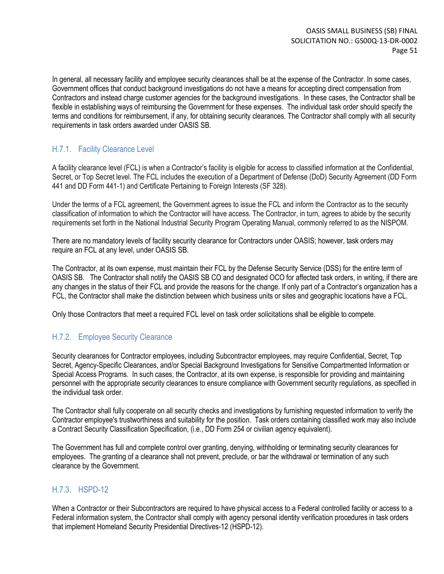In general, all necessary facility and employee security clearances shall be at the expense of the Contractor. In some cases, Government offices that conduct background investigations do not have a means for accepting direct compensation from Contractors and instead charge customer agencies for the background investigations. In these cases, the Contractor shall be flexible in establishing ways of reimbursing the Government for these expenses. The individual task order should specify the terms and conditions for reimbursement, if any, for obtaining security clearances. The Contractor shall comply with all security requirements in task orders awarded under OASIS SB.

### H.7.1. Facility Clearance Level

A facility clearance level (FCL) is when a Contractor's facility is eligible for access to classified information at the Confidential, Secret, or Top Secret level. The FCL includes the execution of a Department of Defense (DoD) Security Agreement (DD Form 441 and DD Form 441-1) and Certificate Pertaining to Foreign Interests (SF 328).

Under the terms of a FCL agreement, the Government agrees to issue the FCL and inform the Contractor as to the security classification of information to which the Contractor will have access. The Contractor, in turn, agrees to abide by the security requirements set forth in the National Industrial Security Program Operating Manual, commonly referred to as the NISPOM.

There are no mandatory levels of facility security clearance for Contractors under OASIS; however, task orders may require an FCL at any level, under OASIS SB.

The Contractor, at its own expense, must maintain their FCL by the Defense Security Service (DSS) for the entire term of OASIS SB. The Contractor shall notify the OASIS SB CO and designated OCO for affected task orders, in writing, if there are any changes in the status of their FCL and provide the reasons for the change. If only part of a Contractor's organization has a FCL, the Contractor shall make the distinction between which business units or sites and geographic locations have a FCL.

Only those Contractors that meet a required FCL level on task order solicitations shall be eligible to compete.

### H.7.2. Employee Security Clearance

Security clearances for Contractor employees, including Subcontractor employees, may require Confidential, Secret, Top Secret, Agency-Specific Clearances, and/or Special Background Investigations for Sensitive Compartmented Information or Special Access Programs. In such cases, the Contractor, at its own expense, is responsible for providing and maintaining personnel with the appropriate security clearances to ensure compliance with Government security regulations, as specified in the individual task order.

The Contractor shall fully cooperate on all security checks and investigations by furnishing requested information to verify the Contractor employee's trustworthiness and suitability for the position. Task orders containing classified work may also include a Contract Security Classification Specification, (i.e., DD Form 254 or civilian agency equivalent).

The Government has full and complete control over granting, denying, withholding or terminating security clearances for employees. The granting of a clearance shall not prevent, preclude, or bar the withdrawal or termination of any such clearance by the Government.

### H.7.3. HSPD-12

When a Contractor or their Subcontractors are required to have physical access to a Federal controlled facility or access to a Federal information system, the Contractor shall comply with agency personal identity verification procedures in task orders that implement Homeland Security Presidential Directives-12 (HSPD-12).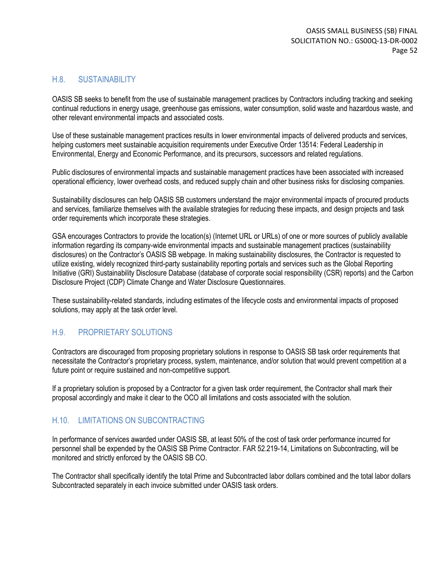#### H.8. SUSTAINABILITY

OASIS SB seeks to benefit from the use of sustainable management practices by Contractors including tracking and seeking continual reductions in energy usage, greenhouse gas emissions, water consumption, solid waste and hazardous waste, and other relevant environmental impacts and associated costs.

Use of these sustainable management practices results in lower environmental impacts of delivered products and services, helping customers meet sustainable acquisition requirements under Executive Order 13514: Federal Leadership in Environmental, Energy and Economic Performance, and its precursors, successors and related regulations.

Public disclosures of environmental impacts and sustainable management practices have been associated with increased operational efficiency, lower overhead costs, and reduced supply chain and other business risks for disclosing companies.

Sustainability disclosures can help OASIS SB customers understand the major environmental impacts of procured products and services, familiarize themselves with the available strategies for reducing these impacts, and design projects and task order requirements which incorporate these strategies.

GSA encourages Contractors to provide the location(s) (Internet URL or URLs) of one or more sources of publicly available information regarding its company-wide environmental impacts and sustainable management practices (sustainability disclosures) on the Contractor's OASIS SB webpage. In making sustainability disclosures, the Contractor is requested to utilize existing, widely recognized third-party sustainability reporting portals and services such as the Global Reporting Initiative (GRI) Sustainability Disclosure Database (database of corporate social responsibility (CSR) reports) and the Carbon Disclosure Project (CDP) Climate Change and Water Disclosure Questionnaires.

These sustainability-related standards, including estimates of the lifecycle costs and environmental impacts of proposed solutions, may apply at the task order level.

#### H.9. PROPRIETARY SOLUTIONS

Contractors are discouraged from proposing proprietary solutions in response to OASIS SB task order requirements that necessitate the Contractor's proprietary process, system, maintenance, and/or solution that would prevent competition at a future point or require sustained and non-competitive support.

If a proprietary solution is proposed by a Contractor for a given task order requirement, the Contractor shall mark their proposal accordingly and make it clear to the OCO all limitations and costs associated with the solution.

#### H.10. LIMITATIONS ON SUBCONTRACTING

In performance of services awarded under OASIS SB, at least 50% of the cost of task order performance incurred for personnel shall be expended by the OASIS SB Prime Contractor. FAR 52.219-14, Limitations on Subcontracting, will be monitored and strictly enforced by the OASIS SB CO.

The Contractor shall specifically identify the total Prime and Subcontracted labor dollars combined and the total labor dollars Subcontracted separately in each invoice submitted under OASIS task orders.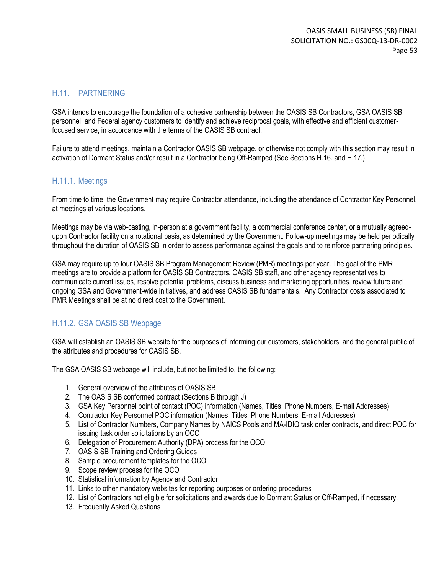### H.11. PARTNERING

GSA intends to encourage the foundation of a cohesive partnership between the OASIS SB Contractors, GSA OASIS SB personnel, and Federal agency customers to identify and achieve reciprocal goals, with effective and efficient customerfocused service, in accordance with the terms of the OASIS SB contract.

Failure to attend meetings, maintain a Contractor OASIS SB webpage, or otherwise not comply with this section may result in activation of Dormant Status and/or result in a Contractor being Off-Ramped (See Sections H.16. and H.17.).

### H.11.1. Meetings

From time to time, the Government may require Contractor attendance, including the attendance of Contractor Key Personnel, at meetings at various locations.

Meetings may be via web-casting, in-person at a government facility, a commercial conference center, or a mutually agreedupon Contractor facility on a rotational basis, as determined by the Government. Follow-up meetings may be held periodically throughout the duration of OASIS SB in order to assess performance against the goals and to reinforce partnering principles.

GSA may require up to four OASIS SB Program Management Review (PMR) meetings per year. The goal of the PMR meetings are to provide a platform for OASIS SB Contractors, OASIS SB staff, and other agency representatives to communicate current issues, resolve potential problems, discuss business and marketing opportunities, review future and ongoing GSA and Government-wide initiatives, and address OASIS SB fundamentals. Any Contractor costs associated to PMR Meetings shall be at no direct cost to the Government.

### H.11.2. GSA OASIS SB Webpage

GSA will establish an OASIS SB website for the purposes of informing our customers, stakeholders, and the general public of the attributes and procedures for OASIS SB.

The GSA OASIS SB webpage will include, but not be limited to, the following:

- 1. General overview of the attributes of OASIS SB
- 2. The OASIS SB conformed contract (Sections B through J)
- 3. GSA Key Personnel point of contact (POC) information (Names, Titles, Phone Numbers, E-mail Addresses)
- 4. Contractor Key Personnel POC information (Names, Titles, Phone Numbers, E-mail Addresses)
- 5. List of Contractor Numbers, Company Names by NAICS Pools and MA-IDIQ task order contracts, and direct POC for issuing task order solicitations by an OCO
- 6. Delegation of Procurement Authority (DPA) process for the OCO
- 7. OASIS SB Training and Ordering Guides
- 8. Sample procurement templates for the OCO
- 9. Scope review process for the OCO
- 10. Statistical information by Agency and Contractor
- 11. Links to other mandatory websites for reporting purposes or ordering procedures
- 12. List of Contractors not eligible for solicitations and awards due to Dormant Status or Off-Ramped, if necessary.
- 13. Frequently Asked Questions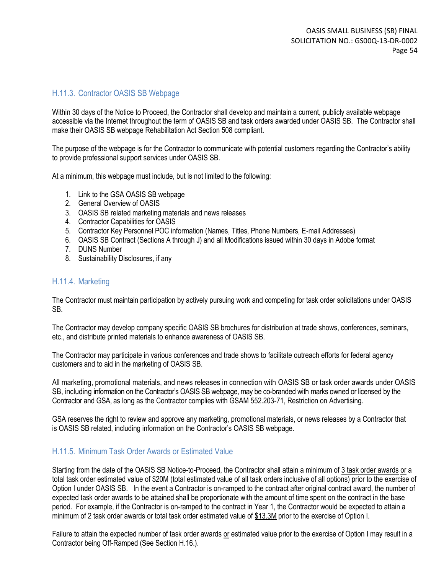#### H.11.3. Contractor OASIS SB Webpage

Within 30 days of the Notice to Proceed, the Contractor shall develop and maintain a current, publicly available webpage accessible via the Internet throughout the term of OASIS SB and task orders awarded under OASIS SB. The Contractor shall make their OASIS SB webpage Rehabilitation Act Section 508 compliant.

The purpose of the webpage is for the Contractor to communicate with potential customers regarding the Contractor's ability to provide professional support services under OASIS SB.

At a minimum, this webpage must include, but is not limited to the following:

- 1. Link to the GSA OASIS SB webpage
- 2. General Overview of OASIS
- 3. OASIS SB related marketing materials and news releases
- 4. Contractor Capabilities for OASIS
- 5. Contractor Key Personnel POC information (Names, Titles, Phone Numbers, E-mail Addresses)
- 6. OASIS SB Contract (Sections A through J) and all Modifications issued within 30 days in Adobe format
- 7. DUNS Number
- 8. Sustainability Disclosures, if any

#### H.11.4. Marketing

The Contractor must maintain participation by actively pursuing work and competing for task order solicitations under OASIS SB.

The Contractor may develop company specific OASIS SB brochures for distribution at trade shows, conferences, seminars, etc., and distribute printed materials to enhance awareness of OASIS SB.

The Contractor may participate in various conferences and trade shows to facilitate outreach efforts for federal agency customers and to aid in the marketing of OASIS SB.

All marketing, promotional materials, and news releases in connection with OASIS SB or task order awards under OASIS SB, including information on the Contractor's OASIS SB webpage, may be co-branded with marks owned or licensed by the Contractor and GSA, as long as the Contractor complies with GSAM 552.203-71, Restriction on Advertising.

GSA reserves the right to review and approve any marketing, promotional materials, or news releases by a Contractor that is OASIS SB related, including information on the Contractor's OASIS SB webpage.

#### H.11.5. Minimum Task Order Awards or Estimated Value

Starting from the date of the OASIS SB Notice-to-Proceed, the Contractor shall attain a minimum of 3 task order awards or a total task order estimated value of \$20M (total estimated value of all task orders inclusive of all options) prior to the exercise of Option I under OASIS SB. In the event a Contractor is on-ramped to the contract after original contract award, the number of expected task order awards to be attained shall be proportionate with the amount of time spent on the contract in the base period. For example, if the Contractor is on-ramped to the contract in Year 1, the Contractor would be expected to attain a minimum of 2 task order awards or total task order estimated value of \$13.3M prior to the exercise of Option I.

Failure to attain the expected number of task order awards or estimated value prior to the exercise of Option I may result in a Contractor being Off-Ramped (See Section H.16.).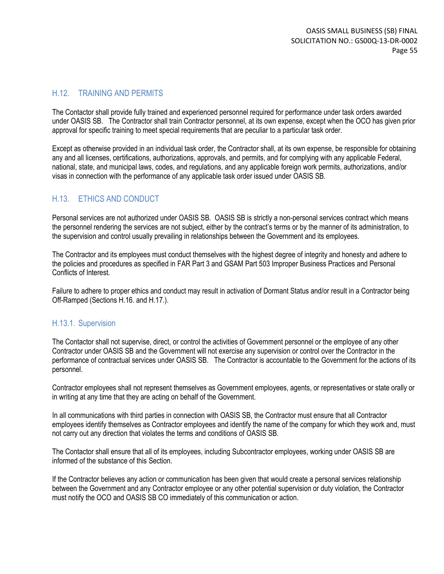#### H.12. TRAINING AND PERMITS

The Contactor shall provide fully trained and experienced personnel required for performance under task orders awarded under OASIS SB. The Contractor shall train Contractor personnel, at its own expense, except when the OCO has given prior approval for specific training to meet special requirements that are peculiar to a particular task order.

Except as otherwise provided in an individual task order, the Contractor shall, at its own expense, be responsible for obtaining any and all licenses, certifications, authorizations, approvals, and permits, and for complying with any applicable Federal, national, state, and municipal laws, codes, and regulations, and any applicable foreign work permits, authorizations, and/or visas in connection with the performance of any applicable task order issued under OASIS SB.

### H.13. ETHICS AND CONDUCT

Personal services are not authorized under OASIS SB. OASIS SB is strictly a non-personal services contract which means the personnel rendering the services are not subject, either by the contract's terms or by the manner of its administration, to the supervision and control usually prevailing in relationships between the Government and its employees.

The Contractor and its employees must conduct themselves with the highest degree of integrity and honesty and adhere to the policies and procedures as specified in FAR Part 3 and GSAM Part 503 Improper Business Practices and Personal Conflicts of Interest.

Failure to adhere to proper ethics and conduct may result in activation of Dormant Status and/or result in a Contractor being Off-Ramped (Sections H.16. and H.17.).

#### H.13.1. Supervision

The Contactor shall not supervise, direct, or control the activities of Government personnel or the employee of any other Contractor under OASIS SB and the Government will not exercise any supervision or control over the Contractor in the performance of contractual services under OASIS SB. The Contractor is accountable to the Government for the actions of its personnel.

Contractor employees shall not represent themselves as Government employees, agents, or representatives or state orally or in writing at any time that they are acting on behalf of the Government.

In all communications with third parties in connection with OASIS SB, the Contractor must ensure that all Contractor employees identify themselves as Contractor employees and identify the name of the company for which they work and, must not carry out any direction that violates the terms and conditions of OASIS SB.

The Contactor shall ensure that all of its employees, including Subcontractor employees, working under OASIS SB are informed of the substance of this Section.

If the Contractor believes any action or communication has been given that would create a personal services relationship between the Government and any Contractor employee or any other potential supervision or duty violation, the Contractor must notify the OCO and OASIS SB CO immediately of this communication or action.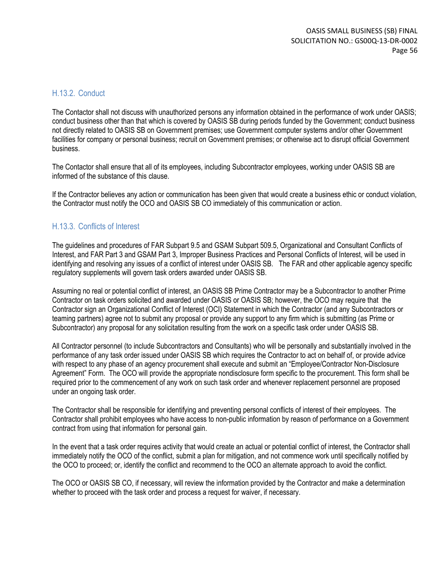#### H.13.2. Conduct

The Contactor shall not discuss with unauthorized persons any information obtained in the performance of work under OASIS; conduct business other than that which is covered by OASIS SB during periods funded by the Government; conduct business not directly related to OASIS SB on Government premises; use Government computer systems and/or other Government facilities for company or personal business; recruit on Government premises; or otherwise act to disrupt official Government business.

The Contactor shall ensure that all of its employees, including Subcontractor employees, working under OASIS SB are informed of the substance of this clause.

If the Contractor believes any action or communication has been given that would create a business ethic or conduct violation, the Contractor must notify the OCO and OASIS SB CO immediately of this communication or action.

#### H.13.3. Conflicts of Interest

The guidelines and procedures of FAR Subpart 9.5 and GSAM Subpart 509.5, Organizational and Consultant Conflicts of Interest, and FAR Part 3 and GSAM Part 3, Improper Business Practices and Personal Conflicts of Interest, will be used in identifying and resolving any issues of a conflict of interest under OASIS SB. The FAR and other applicable agency specific regulatory supplements will govern task orders awarded under OASIS SB.

Assuming no real or potential conflict of interest, an OASIS SB Prime Contractor may be a Subcontractor to another Prime Contractor on task orders solicited and awarded under OASIS or OASIS SB; however, the OCO may require that the Contractor sign an Organizational Conflict of Interest (OCI) Statement in which the Contractor (and any Subcontractors or teaming partners) agree not to submit any proposal or provide any support to any firm which is submitting (as Prime or Subcontractor) any proposal for any solicitation resulting from the work on a specific task order under OASIS SB.

All Contractor personnel (to include Subcontractors and Consultants) who will be personally and substantially involved in the performance of any task order issued under OASIS SB which requires the Contractor to act on behalf of, or provide advice with respect to any phase of an agency procurement shall execute and submit an "Employee/Contractor Non-Disclosure Agreement" Form. The OCO will provide the appropriate nondisclosure form specific to the procurement. This form shall be required prior to the commencement of any work on such task order and whenever replacement personnel are proposed under an ongoing task order.

The Contractor shall be responsible for identifying and preventing personal conflicts of interest of their employees. The Contractor shall prohibit employees who have access to non-public information by reason of performance on a Government contract from using that information for personal gain.

In the event that a task order requires activity that would create an actual or potential conflict of interest, the Contractor shall immediately notify the OCO of the conflict, submit a plan for mitigation, and not commence work until specifically notified by the OCO to proceed; or, identify the conflict and recommend to the OCO an alternate approach to avoid the conflict.

The OCO or OASIS SB CO, if necessary, will review the information provided by the Contractor and make a determination whether to proceed with the task order and process a request for waiver, if necessary.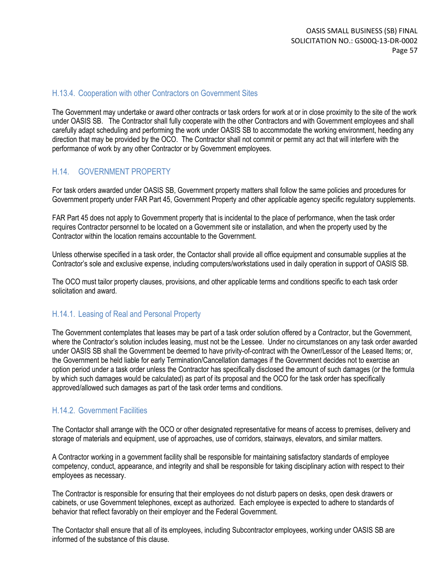#### H.13.4. Cooperation with other Contractors on Government Sites

The Government may undertake or award other contracts or task orders for work at or in close proximity to the site of the work under OASIS SB. The Contractor shall fully cooperate with the other Contractors and with Government employees and shall carefully adapt scheduling and performing the work under OASIS SB to accommodate the working environment, heeding any direction that may be provided by the OCO. The Contractor shall not commit or permit any act that will interfere with the performance of work by any other Contractor or by Government employees.

#### H.14. GOVERNMENT PROPERTY

For task orders awarded under OASIS SB, Government property matters shall follow the same policies and procedures for Government property under FAR Part 45, Government Property and other applicable agency specific regulatory supplements.

FAR Part 45 does not apply to Government property that is incidental to the place of performance, when the task order requires Contractor personnel to be located on a Government site or installation, and when the property used by the Contractor within the location remains accountable to the Government.

Unless otherwise specified in a task order, the Contactor shall provide all office equipment and consumable supplies at the Contractor's sole and exclusive expense, including computers/workstations used in daily operation in support of OASIS SB.

The OCO must tailor property clauses, provisions, and other applicable terms and conditions specific to each task order solicitation and award.

#### H.14.1. Leasing of Real and Personal Property

The Government contemplates that leases may be part of a task order solution offered by a Contractor, but the Government, where the Contractor's solution includes leasing, must not be the Lessee. Under no circumstances on any task order awarded under OASIS SB shall the Government be deemed to have privity-of-contract with the Owner/Lessor of the Leased Items; or, the Government be held liable for early Termination/Cancellation damages if the Government decides not to exercise an option period under a task order unless the Contractor has specifically disclosed the amount of such damages (or the formula by which such damages would be calculated) as part of its proposal and the OCO for the task order has specifically approved/allowed such damages as part of the task order terms and conditions.

#### H.14.2. Government Facilities

The Contactor shall arrange with the OCO or other designated representative for means of access to premises, delivery and storage of materials and equipment, use of approaches, use of corridors, stairways, elevators, and similar matters.

A Contractor working in a government facility shall be responsible for maintaining satisfactory standards of employee competency, conduct, appearance, and integrity and shall be responsible for taking disciplinary action with respect to their employees as necessary.

The Contractor is responsible for ensuring that their employees do not disturb papers on desks, open desk drawers or cabinets, or use Government telephones, except as authorized. Each employee is expected to adhere to standards of behavior that reflect favorably on their employer and the Federal Government.

The Contactor shall ensure that all of its employees, including Subcontractor employees, working under OASIS SB are informed of the substance of this clause.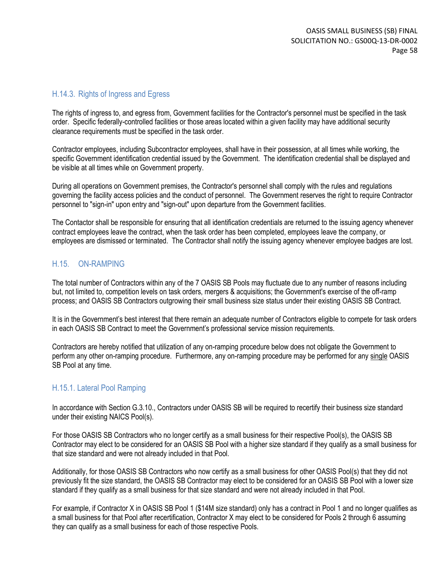#### H.14.3. Rights of Ingress and Egress

The rights of ingress to, and egress from, Government facilities for the Contractor's personnel must be specified in the task order. Specific federally-controlled facilities or those areas located within a given facility may have additional security clearance requirements must be specified in the task order.

Contractor employees, including Subcontractor employees, shall have in their possession, at all times while working, the specific Government identification credential issued by the Government. The identification credential shall be displayed and be visible at all times while on Government property.

During all operations on Government premises, the Contractor's personnel shall comply with the rules and regulations governing the facility access policies and the conduct of personnel. The Government reserves the right to require Contractor personnel to "sign-in" upon entry and "sign-out" upon departure from the Government facilities.

The Contactor shall be responsible for ensuring that all identification credentials are returned to the issuing agency whenever contract employees leave the contract, when the task order has been completed, employees leave the company, or employees are dismissed or terminated. The Contractor shall notify the issuing agency whenever employee badges are lost.

#### H.15. ON-RAMPING

The total number of Contractors within any of the 7 OASIS SB Pools may fluctuate due to any number of reasons including but, not limited to, competition levels on task orders, mergers & acquisitions; the Government's exercise of the off-ramp process; and OASIS SB Contractors outgrowing their small business size status under their existing OASIS SB Contract.

It is in the Government's best interest that there remain an adequate number of Contractors eligible to compete for task orders in each OASIS SB Contract to meet the Government's professional service mission requirements.

Contractors are hereby notified that utilization of any on-ramping procedure below does not obligate the Government to perform any other on-ramping procedure. Furthermore, any on-ramping procedure may be performed for any single OASIS SB Pool at any time.

#### H.15.1. Lateral Pool Ramping

In accordance with Section G.3.10., Contractors under OASIS SB will be required to recertify their business size standard under their existing NAICS Pool(s).

For those OASIS SB Contractors who no longer certify as a small business for their respective Pool(s), the OASIS SB Contractor may elect to be considered for an OASIS SB Pool with a higher size standard if they qualify as a small business for that size standard and were not already included in that Pool.

Additionally, for those OASIS SB Contractors who now certify as a small business for other OASIS Pool(s) that they did not previously fit the size standard, the OASIS SB Contractor may elect to be considered for an OASIS SB Pool with a lower size standard if they qualify as a small business for that size standard and were not already included in that Pool.

For example, if Contractor X in OASIS SB Pool 1 (\$14M size standard) only has a contract in Pool 1 and no longer qualifies as a small business for that Pool after recertification, Contractor X may elect to be considered for Pools 2 through 6 assuming they can qualify as a small business for each of those respective Pools.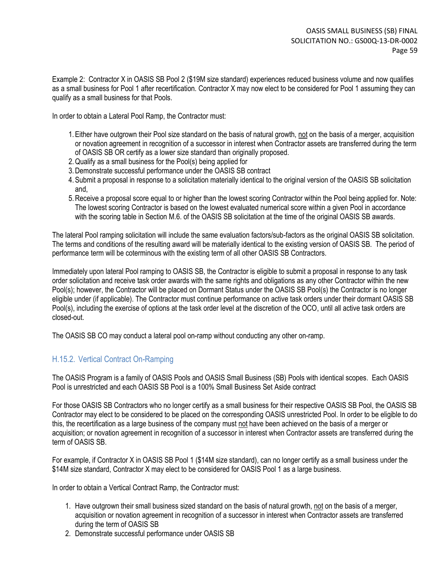Example 2: Contractor X in OASIS SB Pool 2 (\$19M size standard) experiences reduced business volume and now qualifies as a small business for Pool 1 after recertification. Contractor X may now elect to be considered for Pool 1 assuming they can qualify as a small business for that Pools.

In order to obtain a Lateral Pool Ramp, the Contractor must:

- 1. Either have outgrown their Pool size standard on the basis of natural growth, not on the basis of a merger, acquisition or novation agreement in recognition of a successor in interest when Contractor assets are transferred during the term of OASIS SB OR certify as a lower size standard than originally proposed.
- 2.Qualify as a small business for the Pool(s) being applied for
- 3.Demonstrate successful performance under the OASIS SB contract
- 4.Submit a proposal in response to a solicitation materially identical to the original version of the OASIS SB solicitation and,
- 5.Receive a proposal score equal to or higher than the lowest scoring Contractor within the Pool being applied for. Note: The lowest scoring Contractor is based on the lowest evaluated numerical score within a given Pool in accordance with the scoring table in Section M.6. of the OASIS SB solicitation at the time of the original OASIS SB awards.

The lateral Pool ramping solicitation will include the same evaluation factors/sub-factors as the original OASIS SB solicitation. The terms and conditions of the resulting award will be materially identical to the existing version of OASIS SB. The period of performance term will be coterminous with the existing term of all other OASIS SB Contractors.

Immediately upon lateral Pool ramping to OASIS SB, the Contractor is eligible to submit a proposal in response to any task order solicitation and receive task order awards with the same rights and obligations as any other Contractor within the new Pool(s); however, the Contractor will be placed on Dormant Status under the OASIS SB Pool(s) the Contractor is no longer eligible under (if applicable). The Contractor must continue performance on active task orders under their dormant OASIS SB Pool(s), including the exercise of options at the task order level at the discretion of the OCO, until all active task orders are closed-out.

The OASIS SB CO may conduct a lateral pool on-ramp without conducting any other on-ramp.

### H.15.2. Vertical Contract On-Ramping

The OASIS Program is a family of OASIS Pools and OASIS Small Business (SB) Pools with identical scopes. Each OASIS Pool is unrestricted and each OASIS SB Pool is a 100% Small Business Set Aside contract

For those OASIS SB Contractors who no longer certify as a small business for their respective OASIS SB Pool, the OASIS SB Contractor may elect to be considered to be placed on the corresponding OASIS unrestricted Pool. In order to be eligible to do this, the recertification as a large business of the company must not have been achieved on the basis of a merger or acquisition; or novation agreement in recognition of a successor in interest when Contractor assets are transferred during the term of OASIS SB.

For example, if Contractor X in OASIS SB Pool 1 (\$14M size standard), can no longer certify as a small business under the \$14M size standard, Contractor X may elect to be considered for OASIS Pool 1 as a large business.

In order to obtain a Vertical Contract Ramp, the Contractor must:

- 1. Have outgrown their small business sized standard on the basis of natural growth, not on the basis of a merger, acquisition or novation agreement in recognition of a successor in interest when Contractor assets are transferred during the term of OASIS SB
- 2. Demonstrate successful performance under OASIS SB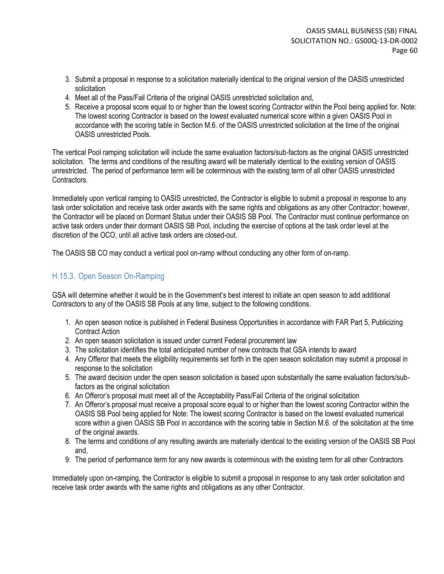- 3. Submit a proposal in response to a solicitation materially identical to the original version of the OASIS unrestricted solicitation
- 4. Meet all of the Pass/Fail Criteria of the original OASIS unrestricted solicitation and,
- 5. Receive a proposal score equal to or higher than the lowest scoring Contractor within the Pool being applied for. Note: The lowest scoring Contractor is based on the lowest evaluated numerical score within a given OASIS Pool in accordance with the scoring table in Section M.6. of the OASIS unrestricted solicitation at the time of the original OASIS unrestricted Pools.

The vertical Pool ramping solicitation will include the same evaluation factors/sub-factors as the original OASIS unrestricted solicitation. The terms and conditions of the resulting award will be materially identical to the existing version of OASIS unrestricted. The period of performance term will be coterminous with the existing term of all other OASIS unrestricted Contractors.

Immediately upon vertical ramping to OASIS unrestricted, the Contractor is eligible to submit a proposal in response to any task order solicitation and receive task order awards with the same rights and obligations as any other Contractor; however, the Contractor will be placed on Dormant Status under their OASIS SB Pool. The Contractor must continue performance on active task orders under their dormant OASIS SB Pool, including the exercise of options at the task order level at the discretion of the OCO, until all active task orders are closed-out.

The OASIS SB CO may conduct a vertical pool on-ramp without conducting any other form of on-ramp.

### H.15.3. Open Season On-Ramping

GSA will determine whether it would be in the Government's best interest to initiate an open season to add additional Contractors to any of the OASIS SB Pools at any time, subject to the following conditions.

- 1. An open season notice is published in Federal Business Opportunities in accordance with FAR Part 5, Publicizing Contract Action
- 2. An open season solicitation is issued under current Federal procurement law
- 3. The solicitation identifies the total anticipated number of new contracts that GSA intends to award
- 4. Any Offeror that meets the eligibility requirements set forth in the open season solicitation may submit a proposal in response to the solicitation
- 5. The award decision under the open season solicitation is based upon substantially the same evaluation factors/subfactors as the original solicitation
- 6. An Offeror's proposal must meet all of the Acceptability Pass/Fail Criteria of the original solicitation
- 7. An Offeror's proposal must receive a proposal score equal to or higher than the lowest scoring Contractor within the OASIS SB Pool being applied for Note: The lowest scoring Contractor is based on the lowest evaluated numerical score within a given OASIS SB Pool in accordance with the scoring table in Section M.6. of the solicitation at the time of the original awards.
- 8. The terms and conditions of any resulting awards are materially identical to the existing version of the OASIS SB Pool and,
- 9. The period of performance term for any new awards is coterminous with the existing term for all other Contractors

Immediately upon on-ramping, the Contractor is eligible to submit a proposal in response to any task order solicitation and receive task order awards with the same rights and obligations as any other Contractor.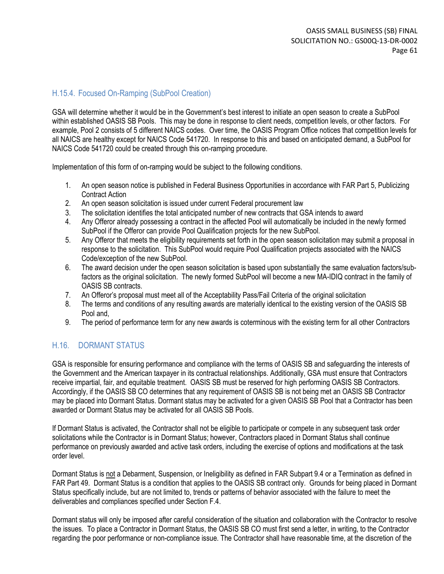### H.15.4. Focused On-Ramping (SubPool Creation)

GSA will determine whether it would be in the Government's best interest to initiate an open season to create a SubPool within established OASIS SB Pools. This may be done in response to client needs, competition levels, or other factors. For example, Pool 2 consists of 5 different NAICS codes. Over time, the OASIS Program Office notices that competition levels for all NAICS are healthy except for NAICS Code 541720. In response to this and based on anticipated demand, a SubPool for NAICS Code 541720 could be created through this on-ramping procedure.

Implementation of this form of on-ramping would be subject to the following conditions.

- 1. An open season notice is published in Federal Business Opportunities in accordance with FAR Part 5, Publicizing Contract Action
- 2. An open season solicitation is issued under current Federal procurement law
- 3. The solicitation identifies the total anticipated number of new contracts that GSA intends to award
- 4. Any Offeror already possessing a contract in the affected Pool will automatically be included in the newly formed SubPool if the Offeror can provide Pool Qualification projects for the new SubPool.
- 5. Any Offeror that meets the eligibility requirements set forth in the open season solicitation may submit a proposal in response to the solicitation. This SubPool would require Pool Qualification projects associated with the NAICS Code/exception of the new SubPool.
- 6. The award decision under the open season solicitation is based upon substantially the same evaluation factors/subfactors as the original solicitation. The newly formed SubPool will become a new MA-IDIQ contract in the family of OASIS SB contracts.
- 7. An Offeror's proposal must meet all of the Acceptability Pass/Fail Criteria of the original solicitation
- 8. The terms and conditions of any resulting awards are materially identical to the existing version of the OASIS SB Pool and,
- 9. The period of performance term for any new awards is coterminous with the existing term for all other Contractors

### H.16. DORMANT STATUS

GSA is responsible for ensuring performance and compliance with the terms of OASIS SB and safeguarding the interests of the Government and the American taxpayer in its contractual relationships. Additionally, GSA must ensure that Contractors receive impartial, fair, and equitable treatment. OASIS SB must be reserved for high performing OASIS SB Contractors. Accordingly, if the OASIS SB CO determines that any requirement of OASIS SB is not being met an OASIS SB Contractor may be placed into Dormant Status. Dormant status may be activated for a given OASIS SB Pool that a Contractor has been awarded or Dormant Status may be activated for all OASIS SB Pools.

If Dormant Status is activated, the Contractor shall not be eligible to participate or compete in any subsequent task order solicitations while the Contractor is in Dormant Status; however, Contractors placed in Dormant Status shall continue performance on previously awarded and active task orders, including the exercise of options and modifications at the task order level.

Dormant Status is not a Debarment, Suspension, or Ineligibility as defined in FAR Subpart 9.4 or a Termination as defined in FAR Part 49. Dormant Status is a condition that applies to the OASIS SB contract only. Grounds for being placed in Dormant Status specifically include, but are not limited to, trends or patterns of behavior associated with the failure to meet the deliverables and compliances specified under Section F.4.

Dormant status will only be imposed after careful consideration of the situation and collaboration with the Contractor to resolve the issues. To place a Contractor in Dormant Status, the OASIS SB CO must first send a letter, in writing, to the Contractor regarding the poor performance or non-compliance issue. The Contractor shall have reasonable time, at the discretion of the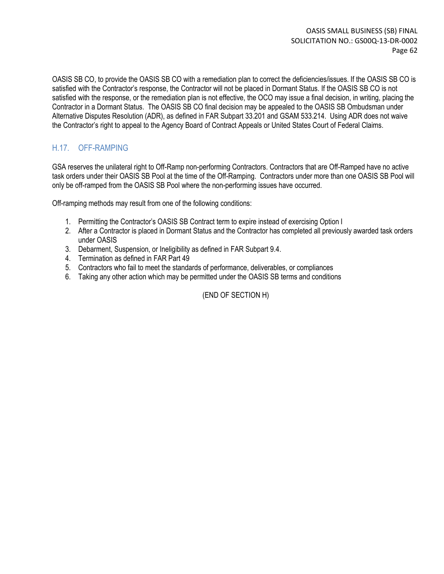OASIS SB CO, to provide the OASIS SB CO with a remediation plan to correct the deficiencies/issues. If the OASIS SB CO is satisfied with the Contractor's response, the Contractor will not be placed in Dormant Status. If the OASIS SB CO is not satisfied with the response, or the remediation plan is not effective, the OCO may issue a final decision, in writing, placing the Contractor in a Dormant Status. The OASIS SB CO final decision may be appealed to the OASIS SB Ombudsman under Alternative Disputes Resolution (ADR), as defined in FAR Subpart 33.201 and GSAM 533.214. Using ADR does not waive the Contractor's right to appeal to the Agency Board of Contract Appeals or United States Court of Federal Claims.

### H.17. OFF-RAMPING

GSA reserves the unilateral right to Off-Ramp non-performing Contractors. Contractors that are Off-Ramped have no active task orders under their OASIS SB Pool at the time of the Off-Ramping. Contractors under more than one OASIS SB Pool will only be off-ramped from the OASIS SB Pool where the non-performing issues have occurred.

Off-ramping methods may result from one of the following conditions:

- 1. Permitting the Contractor's OASIS SB Contract term to expire instead of exercising Option I
- 2. After a Contractor is placed in Dormant Status and the Contractor has completed all previously awarded task orders under OASIS
- 3. Debarment, Suspension, or Ineligibility as defined in FAR Subpart 9.4.
- 4. Termination as defined in FAR Part 49
- 5. Contractors who fail to meet the standards of performance, deliverables, or compliances
- 6. Taking any other action which may be permitted under the OASIS SB terms and conditions

(END OF SECTION H)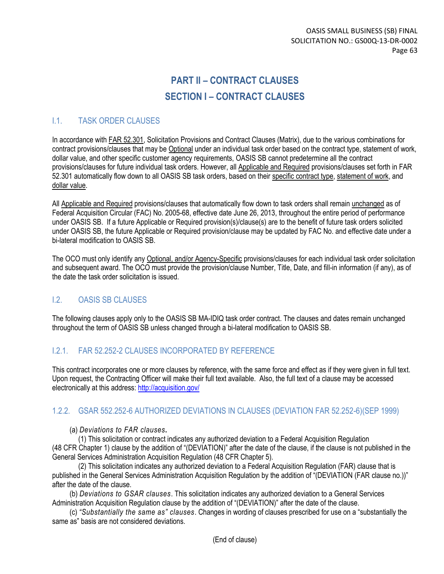# **PART II – CONTRACT CLAUSES SECTION I – CONTRACT CLAUSES**

### I.1. TASK ORDER CLAUSES

In accordance with FAR 52.301, Solicitation Provisions and Contract Clauses (Matrix), due to the various combinations for contract provisions/clauses that may be Optional under an individual task order based on the contract type, statement of work, dollar value, and other specific customer agency requirements, OASIS SB cannot predetermine all the contract provisions/clauses for future individual task orders. However, all Applicable and Required provisions/clauses set forth in FAR 52.301 automatically flow down to all OASIS SB task orders, based on their specific contract type, statement of work, and dollar value.

All Applicable and Required provisions/clauses that automatically flow down to task orders shall remain unchanged as of Federal Acquisition Circular (FAC) No. 2005-68, effective date June 26, 2013, throughout the entire period of performance under OASIS SB. If a future Applicable or Required provision(s)/clause(s) are to the benefit of future task orders solicited under OASIS SB, the future Applicable or Required provision/clause may be updated by FAC No. and effective date under a bi-lateral modification to OASIS SB.

The OCO must only identify any Optional, and/or Agency-Specific provisions/clauses for each individual task order solicitation and subsequent award. The OCO must provide the provision/clause Number, Title, Date, and fill-in information (if any), as of the date the task order solicitation is issued.

### I.2. OASIS SB CLAUSES

The following clauses apply only to the OASIS SB MA-IDIQ task order contract. The clauses and dates remain unchanged throughout the term of OASIS SB unless changed through a bi-lateral modification to OASIS SB.

### I.2.1. FAR 52.252-2 CLAUSES INCORPORATED BY REFERENCE

This contract incorporates one or more clauses by reference, with the same force and effect as if they were given in full text. Upon request, the Contracting Officer will make their full text available. Also, the full text of a clause may be accessed electronically at this address:<http://acquisition.gov/>

### 1.2.2. GSAR 552.252-6 AUTHORIZED DEVIATIONS IN CLAUSES (DEVIATION FAR 52.252-6)(SEP 1999)

(a) *Deviations to FAR clauses***.** 

(1) This solicitation or contract indicates any authorized deviation to a Federal Acquisition Regulation (48 CFR Chapter 1) clause by the addition of "(DEVIATION)" after the date of the clause, if the clause is not published in the General Services Administration Acquisition Regulation (48 CFR Chapter 5).

(2) This solicitation indicates any authorized deviation to a Federal Acquisition Regulation (FAR) clause that is published in the General Services Administration Acquisition Regulation by the addition of "(DEVIATION (FAR clause no.))" after the date of the clause.

(b) *Deviations to GSAR clauses*. This solicitation indicates any authorized deviation to a General Services Administration Acquisition Regulation clause by the addition of "(DEVIATION)" after the date of the clause.

(c) *"Substantially the same as" clauses*. Changes in wording of clauses prescribed for use on a "substantially the same as" basis are not considered deviations.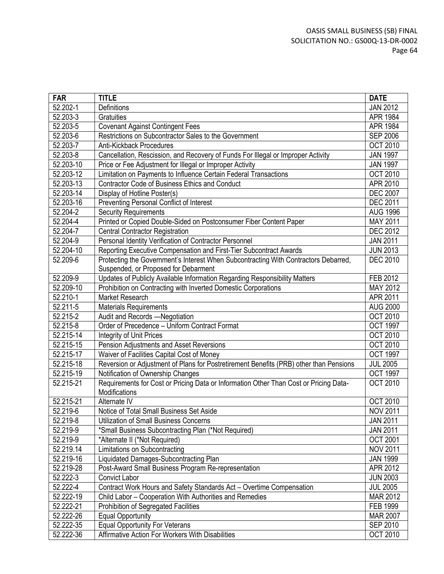| <b>FAR</b> | <b>TITLE</b>                                                                           | <b>DATE</b>     |
|------------|----------------------------------------------------------------------------------------|-----------------|
| 52.202-1   | Definitions                                                                            | <b>JAN 2012</b> |
| 52.203-3   | Gratuities                                                                             | APR 1984        |
| 52.203-5   | <b>Covenant Against Contingent Fees</b>                                                | APR 1984        |
| 52.203-6   | Restrictions on Subcontractor Sales to the Government                                  | <b>SEP 2006</b> |
| 52.203-7   | <b>Anti-Kickback Procedures</b>                                                        | <b>OCT 2010</b> |
| 52.203-8   | Cancellation, Rescission, and Recovery of Funds For Illegal or Improper Activity       | <b>JAN 1997</b> |
| 52.203-10  | Price or Fee Adjustment for Illegal or Improper Activity                               | <b>JAN 1997</b> |
| 52.203-12  | Limitation on Payments to Influence Certain Federal Transactions                       | <b>OCT 2010</b> |
| 52.203-13  | <b>Contractor Code of Business Ethics and Conduct</b>                                  | APR 2010        |
| 52.203-14  | Display of Hotline Poster(s)                                                           | <b>DEC 2007</b> |
| 52.203-16  | Preventing Personal Conflict of Interest                                               | <b>DEC 2011</b> |
| 52.204-2   | <b>Security Requirements</b>                                                           | <b>AUG 1996</b> |
| 52.204-4   | Printed or Copied Double-Sided on Postconsumer Fiber Content Paper                     | MAY 2011        |
| 52.204-7   | <b>Central Contractor Registration</b>                                                 | <b>DEC 2012</b> |
| 52.204-9   | Personal Identity Verification of Contractor Personnel                                 | <b>JAN 2011</b> |
| 52.204-10  | Reporting Executive Compensation and First-Tier Subcontract Awards                     | <b>JUN 2013</b> |
| 52.209-6   | Protecting the Government's Interest When Subcontracting With Contractors Debarred,    | <b>DEC 2010</b> |
|            | Suspended, or Proposed for Debarment                                                   |                 |
| 52.209-9   | Updates of Publicly Available Information Regarding Responsibility Matters             | FEB 2012        |
| 52.209-10  | Prohibition on Contracting with Inverted Domestic Corporations                         | MAY 2012        |
| 52.210-1   | Market Research                                                                        | APR 2011        |
| 52.211-5   | <b>Materials Requirements</b>                                                          | <b>AUG 2000</b> |
| 52.215-2   | Audit and Records -Negotiation                                                         | <b>OCT 2010</b> |
| 52.215-8   | Order of Precedence - Uniform Contract Format                                          | OCT 1997        |
| 52.215-14  | Integrity of Unit Prices                                                               | <b>OCT 2010</b> |
| 52.215-15  | Pension Adjustments and Asset Reversions                                               | <b>OCT 2010</b> |
| 52.215-17  | Waiver of Facilities Capital Cost of Money                                             | <b>OCT 1997</b> |
| 52.215-18  | Reversion or Adjustment of Plans for Postretirement Benefits (PRB) other than Pensions | <b>JUL 2005</b> |
| 52.215-19  | Notification of Ownership Changes                                                      | <b>OCT 1997</b> |
| 52.215-21  | Requirements for Cost or Pricing Data or Information Other Than Cost or Pricing Data-  | <b>OCT 2010</b> |
|            | Modifications                                                                          |                 |
| 52.215-21  | Alternate IV                                                                           | <b>OCT 2010</b> |
| 52.219-6   | Notice of Total Small Business Set Aside                                               | <b>NOV 2011</b> |
| 52.219-8   | <b>Utilization of Small Business Concerns</b>                                          | <b>JAN 2011</b> |
| 52.219-9   | *Small Business Subcontracting Plan (*Not Required)                                    | <b>JAN 2011</b> |
| 52.219-9   | *Alternate II (*Not Required)                                                          | <b>OCT 2001</b> |
| 52.219.14  | Limitations on Subcontracting                                                          | <b>NOV 2011</b> |
| 52.219-16  | Liquidated Damages-Subcontracting Plan                                                 | <b>JAN 1999</b> |
| 52.219-28  | Post-Award Small Business Program Re-representation                                    | APR 2012        |
| 52.222-3   | <b>Convict Labor</b>                                                                   | <b>JUN 2003</b> |
| 52.222-4   | Contract Work Hours and Safety Standards Act - Overtime Compensation                   | <b>JUL 2005</b> |
| 52.222-19  | Child Labor - Cooperation With Authorities and Remedies                                | MAR 2012        |
| 52.222-21  | <b>Prohibition of Segregated Facilities</b>                                            | <b>FEB 1999</b> |
| 52.222-26  | <b>Equal Opportunity</b>                                                               | <b>MAR 2007</b> |
| 52.222-35  | <b>Equal Opportunity For Veterans</b>                                                  | <b>SEP 2010</b> |
| 52.222-36  | Affirmative Action For Workers With Disabilities                                       | <b>OCT 2010</b> |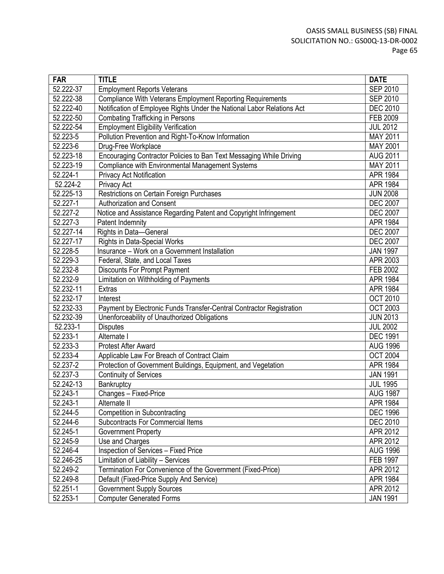| <b>FAR</b>              | <b>TITLE</b>                                                           | <b>DATE</b>     |
|-------------------------|------------------------------------------------------------------------|-----------------|
| $\overline{52.222}$ -37 | <b>Employment Reports Veterans</b>                                     | <b>SEP 2010</b> |
| 52.222-38               | Compliance With Veterans Employment Reporting Requirements             | <b>SEP 2010</b> |
| 52.222-40               | Notification of Employee Rights Under the National Labor Relations Act | <b>DEC 2010</b> |
| 52.222-50               | <b>Combating Trafficking in Persons</b>                                | FEB 2009        |
| 52.222-54               | <b>Employment Eligibility Verification</b>                             | <b>JUL 2012</b> |
| 52.223-5                | Pollution Prevention and Right-To-Know Information                     | MAY 2011        |
| 52.223-6                | Drug-Free Workplace                                                    | MAY 2001        |
| 52.223-18               | Encouraging Contractor Policies to Ban Text Messaging While Driving    | <b>AUG 2011</b> |
| 52.223-19               | Compliance with Environmental Management Systems                       | <b>MAY 2011</b> |
| 52.224-1                | Privacy Act Notification                                               | <b>APR 1984</b> |
| 52.224-2                | Privacy Act                                                            | <b>APR 1984</b> |
| 52.225-13               | Restrictions on Certain Foreign Purchases                              | <b>JUN 2008</b> |
| 52.227-1                | Authorization and Consent                                              | <b>DEC 2007</b> |
| 52.227-2                | Notice and Assistance Regarding Patent and Copyright Infringement      | <b>DEC 2007</b> |
| 52.227-3                | Patent Indemnity                                                       | <b>APR 1984</b> |
| 52.227-14               | Rights in Data-General                                                 | <b>DEC 2007</b> |
| 52.227-17               | <b>Rights in Data-Special Works</b>                                    | <b>DEC 2007</b> |
| 52.228-5                | Insurance - Work on a Government Installation                          | <b>JAN 1997</b> |
| 52.229-3                | Federal, State, and Local Taxes                                        | APR 2003        |
| 52.232-8                | <b>Discounts For Prompt Payment</b>                                    | FEB 2002        |
| 52.232-9                | Limitation on Withholding of Payments                                  | <b>APR 1984</b> |
| 52.232-11               | <b>Extras</b>                                                          | <b>APR 1984</b> |
| 52.232-17               | Interest                                                               | <b>OCT 2010</b> |
| 52.232-33               | Payment by Electronic Funds Transfer-Central Contractor Registration   | <b>OCT 2003</b> |
| 52.232-39               | Unenforceability of Unauthorized Obligations                           | <b>JUN 2013</b> |
| 52.233-1                | <b>Disputes</b>                                                        | <b>JUL 2002</b> |
| 52.233-1                | Alternate I                                                            | <b>DEC 1991</b> |
| 52.233-3                | <b>Protest After Award</b>                                             | <b>AUG 1996</b> |
| 52.233-4                | Applicable Law For Breach of Contract Claim                            | <b>OCT 2004</b> |
| 52.237-2                | Protection of Government Buildings, Equipment, and Vegetation          | APR 1984        |
| 52.237-3                | <b>Continuity of Services</b>                                          | <b>JAN 1991</b> |
| 52.242-13               | Bankruptcy                                                             | <b>JUL 1995</b> |
| 52.243-1                | Changes - Fixed-Price                                                  | <b>AUG 1987</b> |
| 52.243-1                | Alternate II                                                           | <b>APR 1984</b> |
| 52.244-5                | <b>Competition in Subcontracting</b>                                   | <b>DEC 1996</b> |
| $\overline{52.2}44-6$   | <b>Subcontracts For Commercial Items</b>                               | <b>DEC 2010</b> |
| 52.245-1                | Government Property                                                    | APR 2012        |
| 52.245-9                | Use and Charges                                                        | APR 2012        |
| 52.246-4                | <b>Inspection of Services - Fixed Price</b>                            | <b>AUG 1996</b> |
| 52.246-25               | Limitation of Liability - Services                                     | <b>FEB 1997</b> |
| 52.249-2                | Termination For Convenience of the Government (Fixed-Price)            | APR 2012        |
| 52.249-8                | Default (Fixed-Price Supply And Service)                               | APR 1984        |
| 52.251-1                | <b>Government Supply Sources</b>                                       | APR 2012        |
| 52.253-1                | <b>Computer Generated Forms</b>                                        | <b>JAN 1991</b> |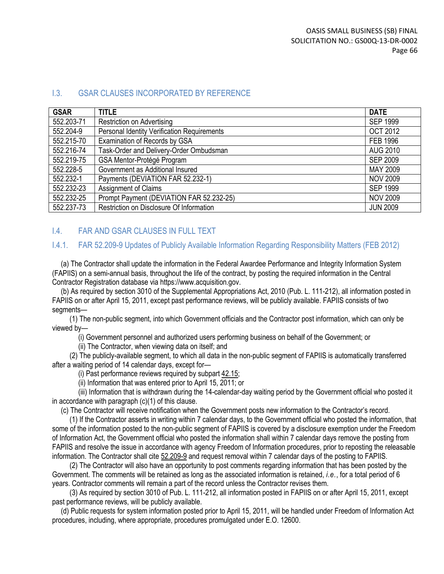#### I.3. GSAR CLAUSES INCORPORATED BY REFERENCE

| <b>GSAR</b> | <b>TITLE</b>                                       | <b>DATE</b>     |
|-------------|----------------------------------------------------|-----------------|
| 552.203-71  | <b>Restriction on Advertising</b>                  | <b>SEP 1999</b> |
| 552.204-9   | <b>Personal Identity Verification Requirements</b> | <b>OCT 2012</b> |
| 552.215-70  | Examination of Records by GSA                      | <b>FEB 1996</b> |
| 552.216-74  | Task-Order and Delivery-Order Ombudsman            | <b>AUG 2010</b> |
| 552.219-75  | GSA Mentor-Protégé Program                         | <b>SEP 2009</b> |
| 552.228-5   | Government as Additional Insured                   | MAY 2009        |
| 552.232-1   | Payments (DEVIATION FAR 52.232-1)                  | <b>NOV 2009</b> |
| 552.232-23  | <b>Assignment of Claims</b>                        | <b>SEP 1999</b> |
| 552.232-25  | Prompt Payment (DEVIATION FAR 52.232-25)           | <b>NOV 2009</b> |
| 552.237-73  | Restriction on Disclosure Of Information           | <b>JUN 2009</b> |

#### I.4. FAR AND GSAR CLAUSES IN FULL TEXT

#### I.4.1. FAR 52.209-9 Updates of Publicly Available Information Regarding Responsibility Matters (FEB 2012)

(a) The Contractor shall update the information in the Federal Awardee Performance and Integrity Information System (FAPIIS) on a semi-annual basis, throughout the life of the contract, by posting the required information in the Central Contractor Registration database via https://www.acquisition.gov.

(b) As required by section 3010 of the Supplemental Appropriations Act, 2010 (Pub. L. 111-212), all information posted in FAPIIS on or after April 15, 2011, except past performance reviews, will be publicly available. FAPIIS consists of two segments-

(1) The non-public segment, into which Government officials and the Contractor post information, which can only be viewed by—

(i) Government personnel and authorized users performing business on behalf of the Government; or

(ii) The Contractor, when viewing data on itself; and

(2) The publicly-available segment, to which all data in the non-public segment of FAPIIS is automatically transferred after a waiting period of 14 calendar days, except for—

(i) Past performance reviews required by subpar[t 42.15;](https://www.acquisition.gov/far/current/html/Subpart%2042_15.html#wp1075411)

(ii) Information that was entered prior to April 15, 2011; or

(iii) Information that is withdrawn during the 14-calendar-day waiting period by the Government official who posted it in accordance with paragraph (c)(1) of this clause.

(c) The Contractor will receive notification when the Government posts new information to the Contractor's record.

(1) If the Contractor asserts in writing within 7 calendar days, to the Government official who posted the information, that some of the information posted to the non-public segment of FAPIIS is covered by a disclosure exemption under the Freedom of Information Act, the Government official who posted the information shall within 7 calendar days remove the posting from FAPIIS and resolve the issue in accordance with agency Freedom of Information procedures, prior to reposting the releasable information. The Contractor shall cite [52.209-9](https://www.acquisition.gov/far/current/html/52_207_211.html#wp1145644) and request removal within 7 calendar days of the posting to FAPIIS.

(2) The Contractor will also have an opportunity to post comments regarding information that has been posted by the Government. The comments will be retained as long as the associated information is retained, *i.e.*, for a total period of 6 years. Contractor comments will remain a part of the record unless the Contractor revises them.

(3) As required by section 3010 of Pub. L. 111-212, all information posted in FAPIIS on or after April 15, 2011, except past performance reviews, will be publicly available.

(d) Public requests for system information posted prior to April 15, 2011, will be handled under Freedom of Information Act procedures, including, where appropriate, procedures promulgated under E.O. 12600.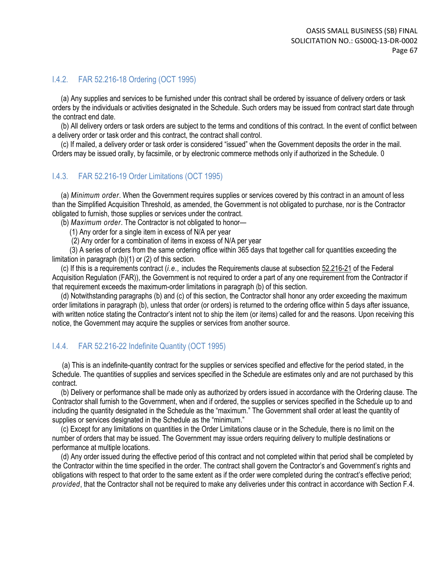### I.4.2. FAR 52.216-18 Ordering (OCT 1995)

(a) Any supplies and services to be furnished under this contract shall be ordered by issuance of delivery orders or task orders by the individuals or activities designated in the Schedule. Such orders may be issued from contract start date through the contract end date.

(b) All delivery orders or task orders are subject to the terms and conditions of this contract. In the event of conflict between a delivery order or task order and this contract, the contract shall control.

(c) If mailed, a delivery order or task order is considered "issued" when the Government deposits the order in the mail. Orders may be issued orally, by facsimile, or by electronic commerce methods only if authorized in the Schedule. 0

#### I.4.3. FAR 52.216-19 Order Limitations (OCT 1995)

(a) *Minimum order*. When the Government requires supplies or services covered by this contract in an amount of less than the Simplified Acquisition Threshold, as amended, the Government is not obligated to purchase, nor is the Contractor obligated to furnish, those supplies or services under the contract.

(b) *Maximum order*. The Contractor is not obligated to honor—

(1) Any order for a single item in excess of N/A per year

(2) Any order for a combination of items in excess of N/A per year

(3) A series of orders from the same ordering office within 365 days that together call for quantities exceeding the limitation in paragraph (b)(1) or (2) of this section.

(c) If this is a requirements contract (*i.e.,* includes the Requirements clause at subsection [52.216-21](https://www.acquisition.gov/far/current/html/52_216.html#wp1115057) of the Federal Acquisition Regulation (FAR)), the Government is not required to order a part of any one requirement from the Contractor if that requirement exceeds the maximum-order limitations in paragraph (b) of this section.

(d) Notwithstanding paragraphs (b) and (c) of this section, the Contractor shall honor any order exceeding the maximum order limitations in paragraph (b), unless that order (or orders) is returned to the ordering office within 5 days after issuance, with written notice stating the Contractor's intent not to ship the item (or items) called for and the reasons. Upon receiving this notice, the Government may acquire the supplies or services from another source.

### I.4.4. FAR 52.216-22 Indefinite Quantity (OCT 1995)

(a) This is an indefinite-quantity contract for the supplies or services specified and effective for the period stated, in the Schedule. The quantities of supplies and services specified in the Schedule are estimates only and are not purchased by this contract.

(b) Delivery or performance shall be made only as authorized by orders issued in accordance with the Ordering clause. The Contractor shall furnish to the Government, when and if ordered, the supplies or services specified in the Schedule up to and including the quantity designated in the Schedule as the "maximum." The Government shall order at least the quantity of supplies or services designated in the Schedule as the "minimum."

(c) Except for any limitations on quantities in the Order Limitations clause or in the Schedule, there is no limit on the number of orders that may be issued. The Government may issue orders requiring delivery to multiple destinations or performance at multiple locations.

(d) Any order issued during the effective period of this contract and not completed within that period shall be completed by the Contractor within the time specified in the order. The contract shall govern the Contractor's and Government's rights and obligations with respect to that order to the same extent as if the order were completed during the contract's effective period; *provided*, that the Contractor shall not be required to make any deliveries under this contract in accordance with Section F.4.